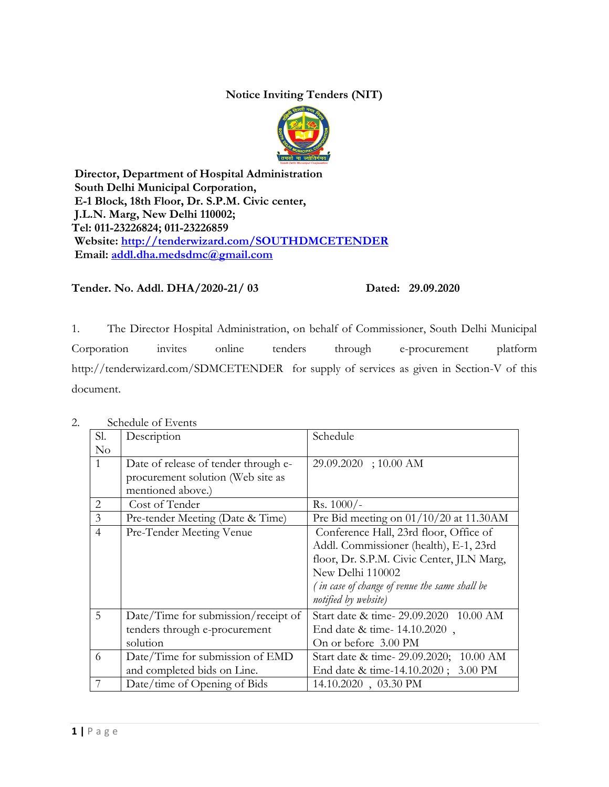## **Notice Inviting Tenders (NIT)**



**Director, Department of Hospital Administration South Delhi Municipal Corporation, E-1 Block, 18th Floor, Dr. S.P.M. Civic center, J.L.N. Marg, New Delhi 110002; Tel: 011-23226824; 011-23226859 Website:<http://tenderwizard.com/SOUTHDMCETENDER> Email: [addl.dha.medsdmc@gmail.com](mailto:addl.dha.medsdmc@gmail.com)**

**Tender. No. Addl. DHA/2020-21/ 03 Dated: 29.09.2020**

1. The Director Hospital Administration, on behalf of Commissioner, South Delhi Municipal Corporation invites online tenders through e-procurement platform http://tenderwizard.com/SDMCETENDER for supply of services as given in Section-V of this document.

| Sl.            | Description                          | Schedule                                             |
|----------------|--------------------------------------|------------------------------------------------------|
| No             |                                      |                                                      |
| 1              | Date of release of tender through e- | 29.09.2020; 10.00 AM                                 |
|                | procurement solution (Web site as    |                                                      |
|                | mentioned above.)                    |                                                      |
| $\overline{2}$ | Cost of Tender                       | $Rs. 1000/-$                                         |
| 3              | Pre-tender Meeting (Date & Time)     | Pre Bid meeting on $01/10/20$ at 11.30AM             |
| $\overline{4}$ | Pre-Tender Meeting Venue             | Conference Hall, 23rd floor, Office of               |
|                |                                      | Addl. Commissioner (health), E-1, 23rd               |
|                |                                      | floor, Dr. S.P.M. Civic Center, JLN Marg,            |
|                |                                      | New Delhi 110002                                     |
|                |                                      | (in case of change of venue the same shall be        |
|                |                                      | notified by website)                                 |
| 5              | Date/Time for submission/receipt of  | Start date & time-29.09.2020 10.00 AM                |
|                | tenders through e-procurement        | End date & time- 14.10.2020,                         |
|                | solution                             | On or before 3.00 PM                                 |
| 6              | Date/Time for submission of EMD      | Start date & time- 29.09.2020;<br>$10.00 \text{ AM}$ |
|                | and completed bids on Line.          | 3.00 PM<br>End date & time-14.10.2020;               |
| 7              | Date/time of Opening of Bids         | 14.10.2020, 03.30 PM                                 |

2. Schedule of Events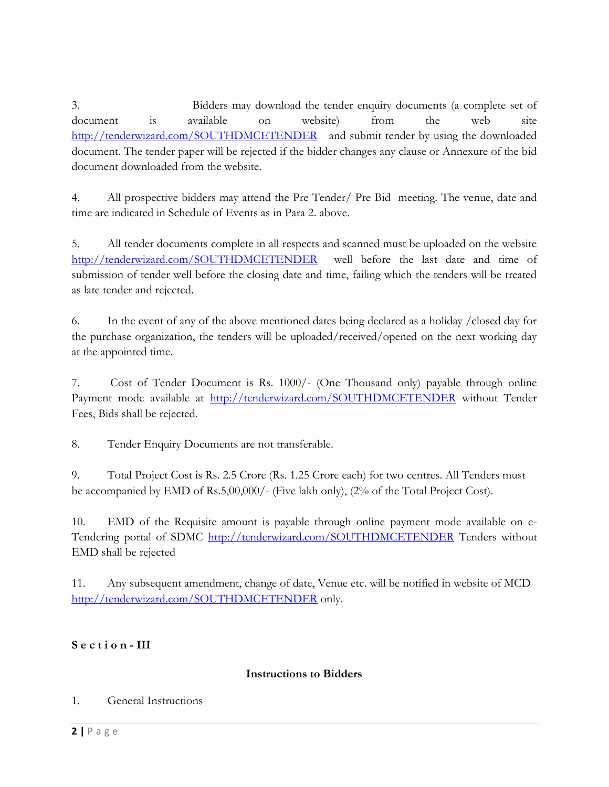3. Bidders may download the tender enquiry documents (a complete set of document is available on website) from the web site <http://tenderwizard.com/SOUTHDMCETENDER>and submit tender by using the downloaded document. The tender paper will be rejected if the bidder changes any clause or Annexure of the bid document downloaded from the website.

4. All prospective bidders may attend the Pre Tender/ Pre Bid meeting. The venue, date and time are indicated in Schedule of Events as in Para 2. above.

5. All tender documents complete in all respects and scanned must be uploaded on the website <http://tenderwizard.com/SOUTHDMCETENDER>well before the last date and time of submission of tender well before the closing date and time, failing which the tenders will be treated as late tender and rejected.

6. In the event of any of the above mentioned dates being declared as a holiday /closed day for the purchase organization, the tenders will be uploaded/received/opened on the next working day at the appointed time.

7. Cost of Tender Document is Rs. 1000/- (One Thousand only) payable through online Payment mode available at <http://tenderwizard.com/SOUTHDMCETENDER> without Tender Fees, Bids shall be rejected.

8. Tender Enquiry Documents are not transferable.

9. Total Project Cost is Rs. 2.5 Crore (Rs. 1.25 Crore each) for two centres. All Tenders must be accompanied by EMD of Rs.5,00,000/- (Five lakh only), (2% of the Total Project Cost).

10. EMD of the Requisite amount is payable through online payment mode available on e-Tendering portal of SDMC<http://tenderwizard.com/SOUTHDMCETENDER> Tenders without EMD shall be rejected

11. Any subsequent amendment, change of date, Venue etc. will be notified in website of MCD <http://tenderwizard.com/SOUTHDMCETENDER> only.

# **S e c t i o n - III**

## **Instructions to Bidders**

## 1. General Instructions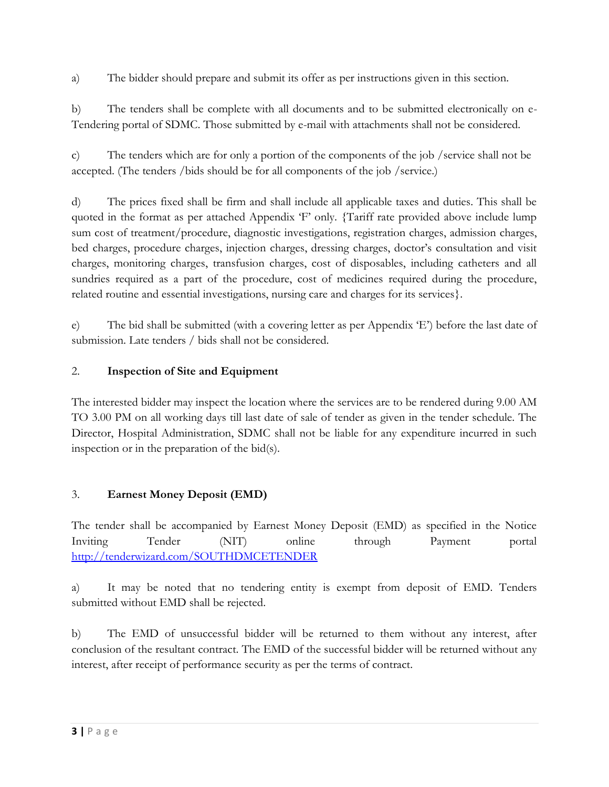a) The bidder should prepare and submit its offer as per instructions given in this section.

b) The tenders shall be complete with all documents and to be submitted electronically on e-Tendering portal of SDMC. Those submitted by e-mail with attachments shall not be considered.

c) The tenders which are for only a portion of the components of the job /service shall not be accepted. (The tenders /bids should be for all components of the job /service.)

d) The prices fixed shall be firm and shall include all applicable taxes and duties. This shall be quoted in the format as per attached Appendix 'F' only. {Tariff rate provided above include lump sum cost of treatment/procedure, diagnostic investigations, registration charges, admission charges, bed charges, procedure charges, injection charges, dressing charges, doctor's consultation and visit charges, monitoring charges, transfusion charges, cost of disposables, including catheters and all sundries required as a part of the procedure, cost of medicines required during the procedure, related routine and essential investigations, nursing care and charges for its services}.

e) The bid shall be submitted (with a covering letter as per Appendix 'E') before the last date of submission. Late tenders / bids shall not be considered.

# 2. **Inspection of Site and Equipment**

The interested bidder may inspect the location where the services are to be rendered during 9.00 AM TO 3.00 PM on all working days till last date of sale of tender as given in the tender schedule. The Director, Hospital Administration, SDMC shall not be liable for any expenditure incurred in such inspection or in the preparation of the bid(s).

# 3. **Earnest Money Deposit (EMD)**

The tender shall be accompanied by Earnest Money Deposit (EMD) as specified in the Notice Inviting Tender (NIT) online through Payment portal <http://tenderwizard.com/SOUTHDMCETENDER>

a) It may be noted that no tendering entity is exempt from deposit of EMD. Tenders submitted without EMD shall be rejected.

b) The EMD of unsuccessful bidder will be returned to them without any interest, after conclusion of the resultant contract. The EMD of the successful bidder will be returned without any interest, after receipt of performance security as per the terms of contract.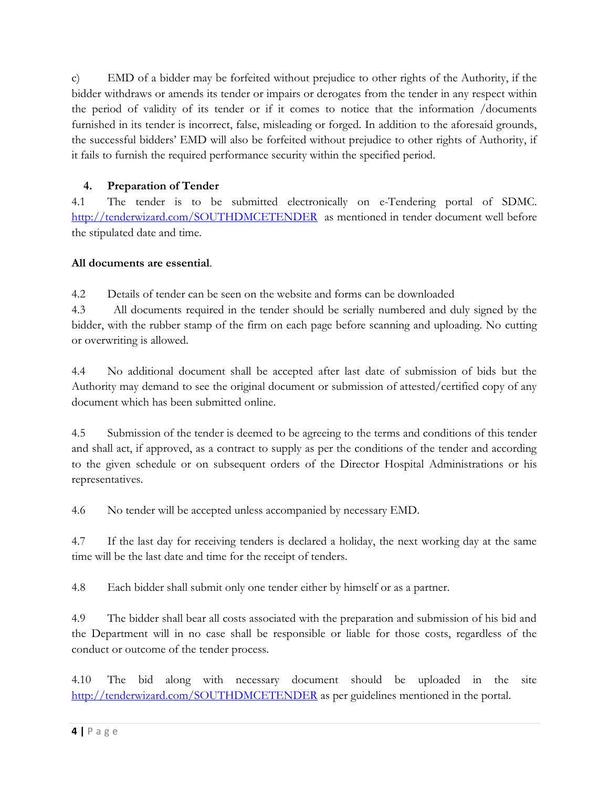c) EMD of a bidder may be forfeited without prejudice to other rights of the Authority, if the bidder withdraws or amends its tender or impairs or derogates from the tender in any respect within the period of validity of its tender or if it comes to notice that the information /documents furnished in its tender is incorrect, false, misleading or forged. In addition to the aforesaid grounds, the successful bidders' EMD will also be forfeited without prejudice to other rights of Authority, if it fails to furnish the required performance security within the specified period.

# **4. Preparation of Tender**

4.1 The tender is to be submitted electronically on e-Tendering portal of SDMC. <http://tenderwizard.com/SOUTHDMCETENDER>as mentioned in tender document well before the stipulated date and time.

# **All documents are essential**.

4.2 Details of tender can be seen on the website and forms can be downloaded

4.3 All documents required in the tender should be serially numbered and duly signed by the bidder, with the rubber stamp of the firm on each page before scanning and uploading. No cutting or overwriting is allowed.

4.4 No additional document shall be accepted after last date of submission of bids but the Authority may demand to see the original document or submission of attested/certified copy of any document which has been submitted online.

4.5 Submission of the tender is deemed to be agreeing to the terms and conditions of this tender and shall act, if approved, as a contract to supply as per the conditions of the tender and according to the given schedule or on subsequent orders of the Director Hospital Administrations or his representatives.

4.6 No tender will be accepted unless accompanied by necessary EMD.

4.7 If the last day for receiving tenders is declared a holiday, the next working day at the same time will be the last date and time for the receipt of tenders.

4.8 Each bidder shall submit only one tender either by himself or as a partner.

4.9 The bidder shall bear all costs associated with the preparation and submission of his bid and the Department will in no case shall be responsible or liable for those costs, regardless of the conduct or outcome of the tender process.

4.10 The bid along with necessary document should be uploaded in the site <http://tenderwizard.com/SOUTHDMCETENDER> as per guidelines mentioned in the portal.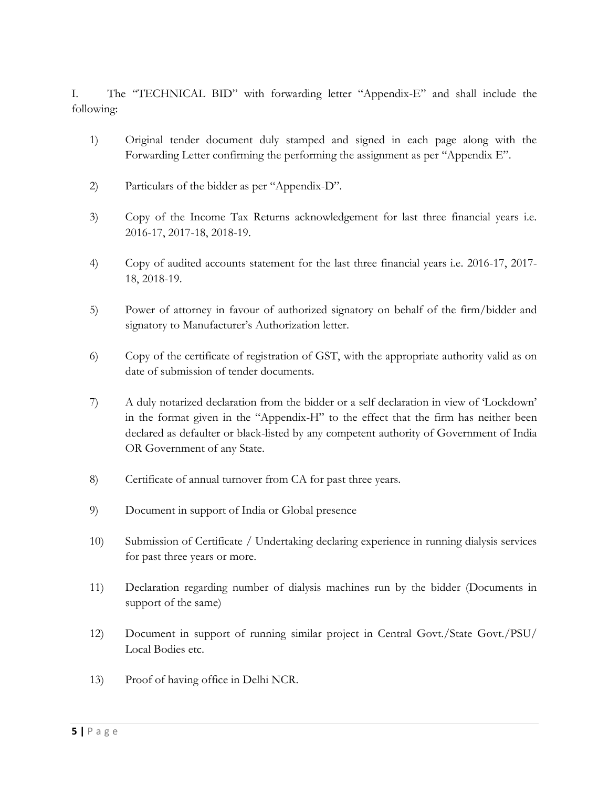I. The "TECHNICAL BID" with forwarding letter "Appendix-E" and shall include the following:

- 1) Original tender document duly stamped and signed in each page along with the Forwarding Letter confirming the performing the assignment as per "Appendix E".
- 2) Particulars of the bidder as per "Appendix-D".
- 3) Copy of the Income Tax Returns acknowledgement for last three financial years i.e. 2016-17, 2017-18, 2018-19.
- 4) Copy of audited accounts statement for the last three financial years i.e. 2016-17, 2017- 18, 2018-19.
- 5) Power of attorney in favour of authorized signatory on behalf of the firm/bidder and signatory to Manufacturer's Authorization letter.
- 6) Copy of the certificate of registration of GST, with the appropriate authority valid as on date of submission of tender documents.
- 7) A duly notarized declaration from the bidder or a self declaration in view of 'Lockdown' in the format given in the "Appendix-H" to the effect that the firm has neither been declared as defaulter or black-listed by any competent authority of Government of India OR Government of any State.
- 8) Certificate of annual turnover from CA for past three years.
- 9) Document in support of India or Global presence
- 10) Submission of Certificate / Undertaking declaring experience in running dialysis services for past three years or more.
- 11) Declaration regarding number of dialysis machines run by the bidder (Documents in support of the same)
- 12) Document in support of running similar project in Central Govt./State Govt./PSU/ Local Bodies etc.
- 13) Proof of having office in Delhi NCR.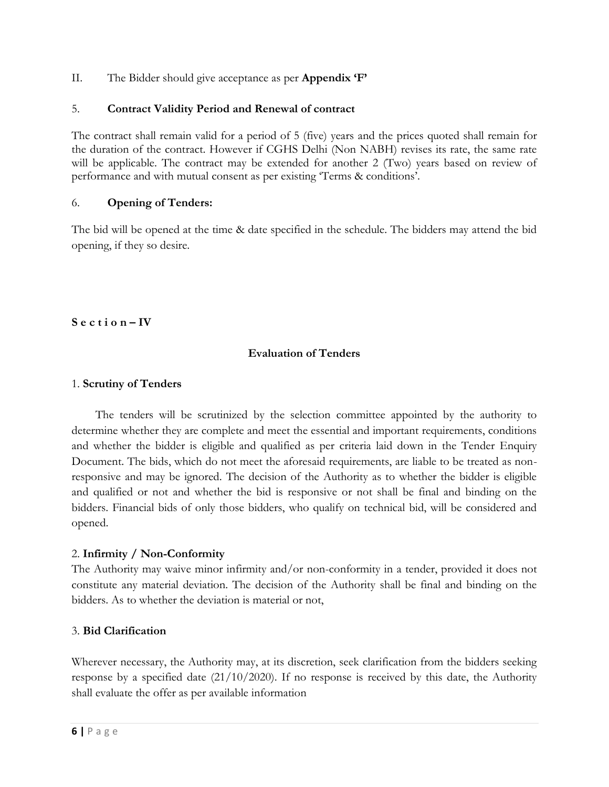II. The Bidder should give acceptance as per **Appendix 'F'**

## 5. **Contract Validity Period and Renewal of contract**

The contract shall remain valid for a period of 5 (five) years and the prices quoted shall remain for the duration of the contract. However if CGHS Delhi (Non NABH) revises its rate, the same rate will be applicable. The contract may be extended for another 2 (Two) years based on review of performance and with mutual consent as per existing 'Terms & conditions'.

## 6. **Opening of Tenders:**

The bid will be opened at the time & date specified in the schedule. The bidders may attend the bid opening, if they so desire.

**S e c t i o n – IV**

## **Evaluation of Tenders**

#### 1. **Scrutiny of Tenders**

 The tenders will be scrutinized by the selection committee appointed by the authority to determine whether they are complete and meet the essential and important requirements, conditions and whether the bidder is eligible and qualified as per criteria laid down in the Tender Enquiry Document. The bids, which do not meet the aforesaid requirements, are liable to be treated as nonresponsive and may be ignored. The decision of the Authority as to whether the bidder is eligible and qualified or not and whether the bid is responsive or not shall be final and binding on the bidders. Financial bids of only those bidders, who qualify on technical bid, will be considered and opened.

#### 2. **Infirmity / Non-Conformity**

The Authority may waive minor infirmity and/or non-conformity in a tender, provided it does not constitute any material deviation. The decision of the Authority shall be final and binding on the bidders. As to whether the deviation is material or not,

## 3. **Bid Clarification**

Wherever necessary, the Authority may, at its discretion, seek clarification from the bidders seeking response by a specified date (21/10/2020). If no response is received by this date, the Authority shall evaluate the offer as per available information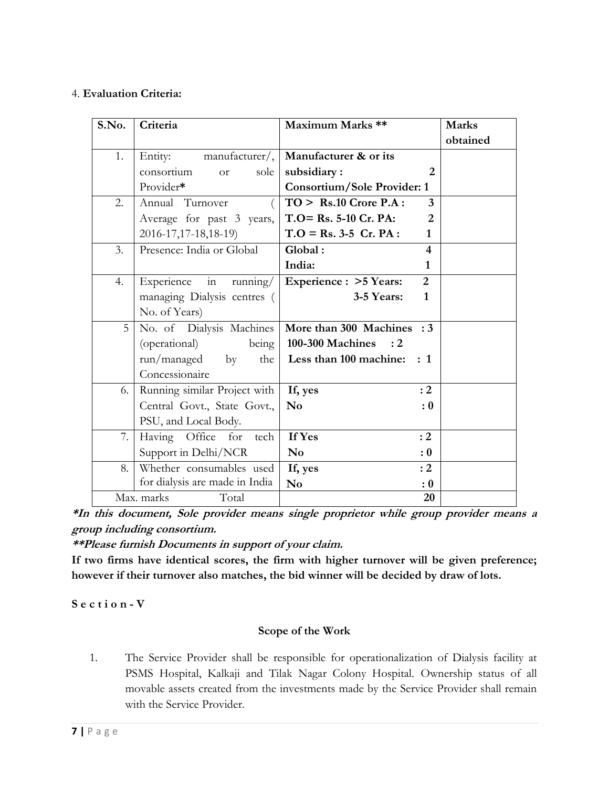## 4. **Evaluation Criteria:**

| S.No. | Criteria                        | Maximum Marks **                   |                | <b>Marks</b> |
|-------|---------------------------------|------------------------------------|----------------|--------------|
|       |                                 |                                    |                | obtained     |
| 1.    | Entity:<br>manufacturer/,       | Manufacturer & or its              |                |              |
|       | consortium<br>sole<br><b>or</b> | subsidiary:                        | 2              |              |
|       | Provider*                       | <b>Consortium/Sole Provider: 1</b> |                |              |
| 2.    | Annual Turnover                 | $TO >$ Rs.10 Crore P.A :           | $\overline{3}$ |              |
|       | Average for past 3 years,       | $T.O = Rs. 5-10 Cr. PA:$           | 2              |              |
|       | 2016-17, 17-18, 18-19)          | $T.O = Rs. 3-5 Cr. PA:$            | $\mathbf{1}$   |              |
| 3.    | Presence: India or Global       | Global:                            | 4              |              |
|       |                                 | India:                             | $\mathbf{1}$   |              |
| 4.    | in<br>Experience<br>running/    | Experience : > 5 Years:            | $\overline{2}$ |              |
|       | managing Dialysis centres (     | 3-5 Years:                         | $\mathbf{1}$   |              |
|       | No. of Years)                   |                                    |                |              |
| 5     | No. of Dialysis Machines        | More than 300 Machines : 3         |                |              |
|       | (operational)<br>being          | 100-300 Machines : 2               |                |              |
|       | run/managed<br>$-$ by<br>the    | Less than 100 machine: : 1         |                |              |
|       | Concessionaire                  |                                    |                |              |
| 6.    | Running similar Project with    | If, yes                            | :2             |              |
|       | Central Govt., State Govt.,     | $\mathbf{N}\mathbf{o}$             | : 0            |              |
|       | PSU, and Local Body.            |                                    |                |              |
| 7.    | Having Office for<br>tech       | If Yes                             | : 2            |              |
|       | Support in Delhi/NCR            | N <sub>0</sub>                     | : 0            |              |
| 8.    | Whether consumables used        | If, yes                            | :2             |              |
|       | for dialysis are made in India  | N <sub>0</sub>                     | : 0            |              |
|       | Total<br>Max. marks             |                                    | 20             |              |

**\*In this document, Sole provider means single proprietor while group provider means a group including consortium.**

**\*\*Please furnish Documents in support of your claim.**

**If two firms have identical scores, the firm with higher turnover will be given preference; however if their turnover also matches, the bid winner will be decided by draw of lots.**

**S e c t i o n - V**

#### **Scope of the Work**

1. The Service Provider shall be responsible for operationalization of Dialysis facility at PSMS Hospital, Kalkaji and Tilak Nagar Colony Hospital. Ownership status of all movable assets created from the investments made by the Service Provider shall remain with the Service Provider.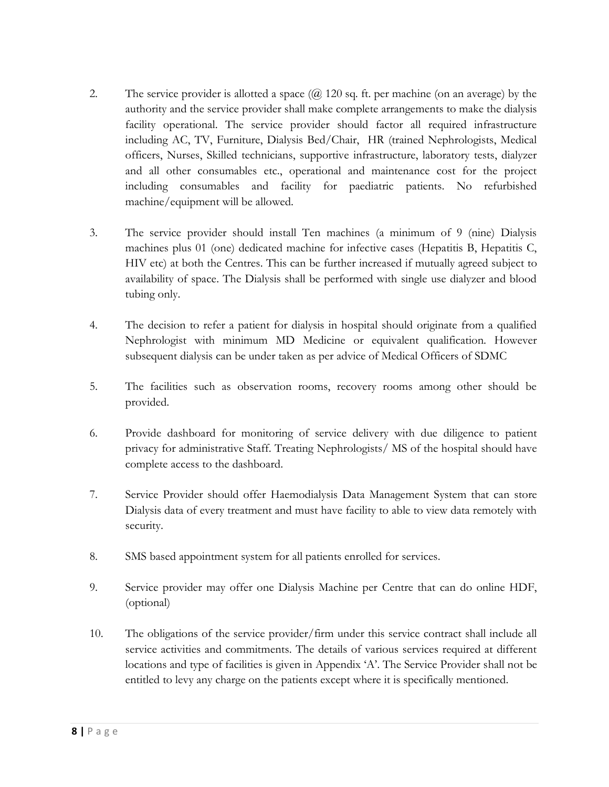- 2. The service provider is allotted a space  $(Q, 120 \text{ sq. ft. per machine (on an average)}$  by the authority and the service provider shall make complete arrangements to make the dialysis facility operational. The service provider should factor all required infrastructure including AC, TV, Furniture, Dialysis Bed/Chair, HR (trained Nephrologists, Medical officers, Nurses, Skilled technicians, supportive infrastructure, laboratory tests, dialyzer and all other consumables etc., operational and maintenance cost for the project including consumables and facility for paediatric patients. No refurbished machine/equipment will be allowed.
- 3. The service provider should install Ten machines (a minimum of 9 (nine) Dialysis machines plus 01 (one) dedicated machine for infective cases (Hepatitis B, Hepatitis C, HIV etc) at both the Centres. This can be further increased if mutually agreed subject to availability of space. The Dialysis shall be performed with single use dialyzer and blood tubing only.
- 4. The decision to refer a patient for dialysis in hospital should originate from a qualified Nephrologist with minimum MD Medicine or equivalent qualification. However subsequent dialysis can be under taken as per advice of Medical Officers of SDMC
- 5. The facilities such as observation rooms, recovery rooms among other should be provided.
- 6. Provide dashboard for monitoring of service delivery with due diligence to patient privacy for administrative Staff. Treating Nephrologists/ MS of the hospital should have complete access to the dashboard.
- 7. Service Provider should offer Haemodialysis Data Management System that can store Dialysis data of every treatment and must have facility to able to view data remotely with security.
- 8. SMS based appointment system for all patients enrolled for services.
- 9. Service provider may offer one Dialysis Machine per Centre that can do online HDF, (optional)
- 10. The obligations of the service provider/firm under this service contract shall include all service activities and commitments. The details of various services required at different locations and type of facilities is given in Appendix 'A'. The Service Provider shall not be entitled to levy any charge on the patients except where it is specifically mentioned.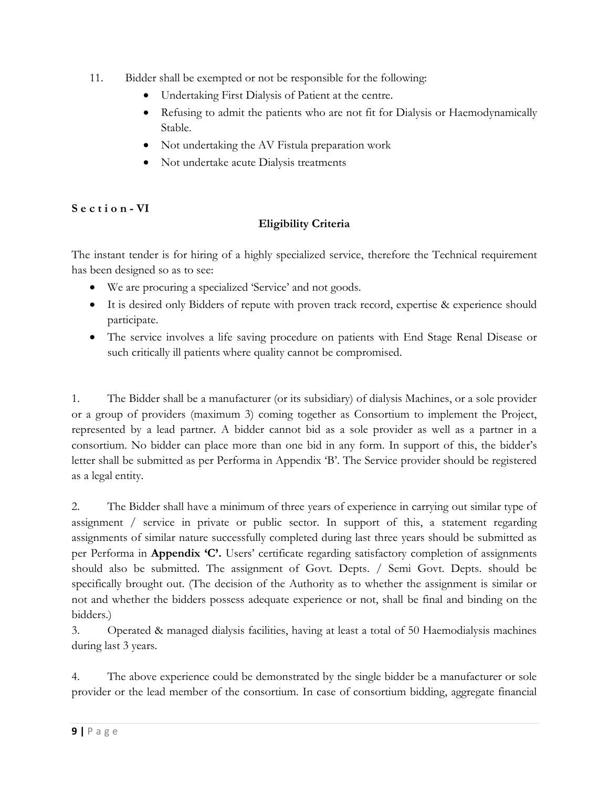- 11. Bidder shall be exempted or not be responsible for the following:
	- Undertaking First Dialysis of Patient at the centre.
	- Refusing to admit the patients who are not fit for Dialysis or Haemodynamically Stable.
	- Not undertaking the AV Fistula preparation work
	- Not undertake acute Dialysis treatments

## **S e c t i o n - VI**

## **Eligibility Criteria**

The instant tender is for hiring of a highly specialized service, therefore the Technical requirement has been designed so as to see:

- We are procuring a specialized 'Service' and not goods.
- It is desired only Bidders of repute with proven track record, expertise & experience should participate.
- The service involves a life saving procedure on patients with End Stage Renal Disease or such critically ill patients where quality cannot be compromised.

1. The Bidder shall be a manufacturer (or its subsidiary) of dialysis Machines, or a sole provider or a group of providers (maximum 3) coming together as Consortium to implement the Project, represented by a lead partner. A bidder cannot bid as a sole provider as well as a partner in a consortium. No bidder can place more than one bid in any form. In support of this, the bidder's letter shall be submitted as per Performa in Appendix 'B'. The Service provider should be registered as a legal entity.

2. The Bidder shall have a minimum of three years of experience in carrying out similar type of assignment / service in private or public sector. In support of this, a statement regarding assignments of similar nature successfully completed during last three years should be submitted as per Performa in **Appendix 'C'.** Users' certificate regarding satisfactory completion of assignments should also be submitted. The assignment of Govt. Depts. / Semi Govt. Depts. should be specifically brought out. (The decision of the Authority as to whether the assignment is similar or not and whether the bidders possess adequate experience or not, shall be final and binding on the bidders.)

3. Operated & managed dialysis facilities, having at least a total of 50 Haemodialysis machines during last 3 years.

4. The above experience could be demonstrated by the single bidder be a manufacturer or sole provider or the lead member of the consortium. In case of consortium bidding, aggregate financial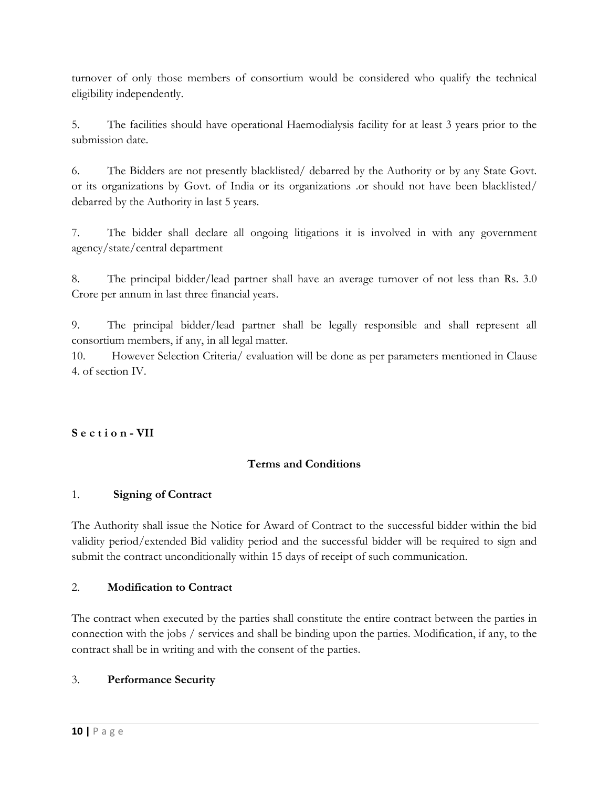turnover of only those members of consortium would be considered who qualify the technical eligibility independently.

5. The facilities should have operational Haemodialysis facility for at least 3 years prior to the submission date.

6. The Bidders are not presently blacklisted/ debarred by the Authority or by any State Govt. or its organizations by Govt. of India or its organizations .or should not have been blacklisted/ debarred by the Authority in last 5 years.

7. The bidder shall declare all ongoing litigations it is involved in with any government agency/state/central department

8. The principal bidder/lead partner shall have an average turnover of not less than Rs. 3.0 Crore per annum in last three financial years.

9. The principal bidder/lead partner shall be legally responsible and shall represent all consortium members, if any, in all legal matter.

10. However Selection Criteria/ evaluation will be done as per parameters mentioned in Clause 4. of section IV.

# **S e c t i o n - VII**

## **Terms and Conditions**

## 1. **Signing of Contract**

The Authority shall issue the Notice for Award of Contract to the successful bidder within the bid validity period/extended Bid validity period and the successful bidder will be required to sign and submit the contract unconditionally within 15 days of receipt of such communication.

## 2. **Modification to Contract**

The contract when executed by the parties shall constitute the entire contract between the parties in connection with the jobs / services and shall be binding upon the parties. Modification, if any, to the contract shall be in writing and with the consent of the parties.

#### 3. **Performance Security**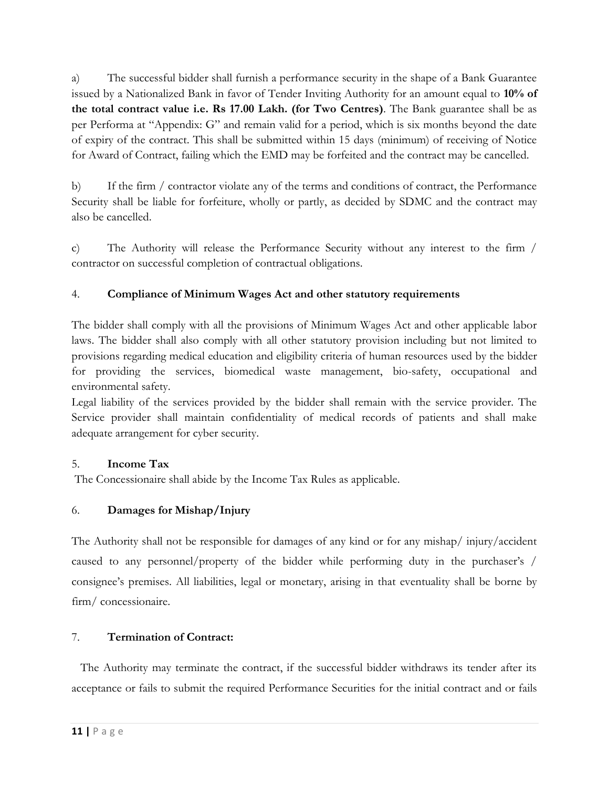a) The successful bidder shall furnish a performance security in the shape of a Bank Guarantee issued by a Nationalized Bank in favor of Tender Inviting Authority for an amount equal to **10% of the total contract value i.e. Rs 17.00 Lakh. (for Two Centres)**. The Bank guarantee shall be as per Performa at "Appendix: G" and remain valid for a period, which is six months beyond the date of expiry of the contract. This shall be submitted within 15 days (minimum) of receiving of Notice for Award of Contract, failing which the EMD may be forfeited and the contract may be cancelled.

b) If the firm / contractor violate any of the terms and conditions of contract, the Performance Security shall be liable for forfeiture, wholly or partly, as decided by SDMC and the contract may also be cancelled.

c) The Authority will release the Performance Security without any interest to the firm / contractor on successful completion of contractual obligations.

# 4. **Compliance of Minimum Wages Act and other statutory requirements**

The bidder shall comply with all the provisions of Minimum Wages Act and other applicable labor laws. The bidder shall also comply with all other statutory provision including but not limited to provisions regarding medical education and eligibility criteria of human resources used by the bidder for providing the services, biomedical waste management, bio-safety, occupational and environmental safety.

Legal liability of the services provided by the bidder shall remain with the service provider. The Service provider shall maintain confidentiality of medical records of patients and shall make adequate arrangement for cyber security.

## 5. **Income Tax**

The Concessionaire shall abide by the Income Tax Rules as applicable.

# 6. **Damages for Mishap/Injury**

The Authority shall not be responsible for damages of any kind or for any mishap/ injury/accident caused to any personnel/property of the bidder while performing duty in the purchaser's / consignee's premises. All liabilities, legal or monetary, arising in that eventuality shall be borne by firm/ concessionaire.

# 7. **Termination of Contract:**

 The Authority may terminate the contract, if the successful bidder withdraws its tender after its acceptance or fails to submit the required Performance Securities for the initial contract and or fails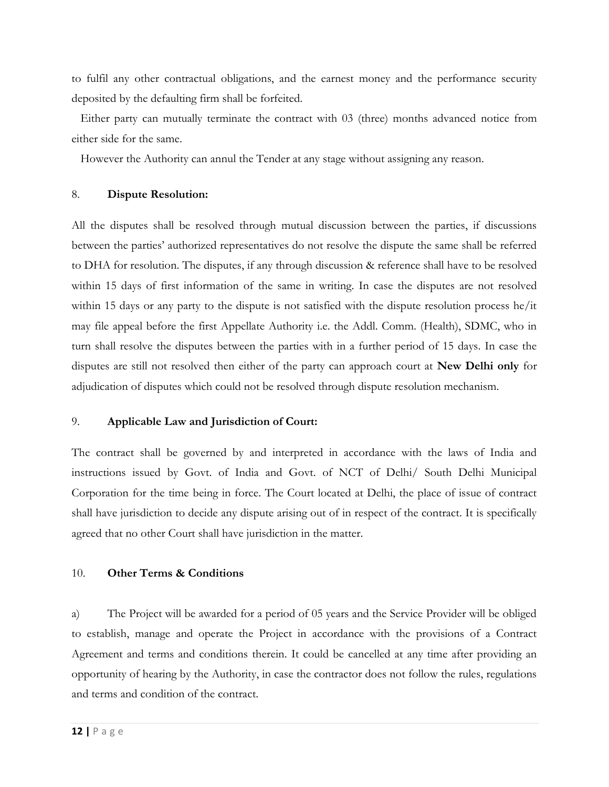to fulfil any other contractual obligations, and the earnest money and the performance security deposited by the defaulting firm shall be forfeited.

 Either party can mutually terminate the contract with 03 (three) months advanced notice from either side for the same.

However the Authority can annul the Tender at any stage without assigning any reason.

#### 8. **Dispute Resolution:**

All the disputes shall be resolved through mutual discussion between the parties, if discussions between the parties' authorized representatives do not resolve the dispute the same shall be referred to DHA for resolution. The disputes, if any through discussion & reference shall have to be resolved within 15 days of first information of the same in writing. In case the disputes are not resolved within 15 days or any party to the dispute is not satisfied with the dispute resolution process he/it may file appeal before the first Appellate Authority i.e. the Addl. Comm. (Health), SDMC, who in turn shall resolve the disputes between the parties with in a further period of 15 days. In case the disputes are still not resolved then either of the party can approach court at **New Delhi only** for adjudication of disputes which could not be resolved through dispute resolution mechanism.

#### 9. **Applicable Law and Jurisdiction of Court:**

The contract shall be governed by and interpreted in accordance with the laws of India and instructions issued by Govt. of India and Govt. of NCT of Delhi/ South Delhi Municipal Corporation for the time being in force. The Court located at Delhi, the place of issue of contract shall have jurisdiction to decide any dispute arising out of in respect of the contract. It is specifically agreed that no other Court shall have jurisdiction in the matter.

#### 10. **Other Terms & Conditions**

a) The Project will be awarded for a period of 05 years and the Service Provider will be obliged to establish, manage and operate the Project in accordance with the provisions of a Contract Agreement and terms and conditions therein. It could be cancelled at any time after providing an opportunity of hearing by the Authority, in case the contractor does not follow the rules, regulations and terms and condition of the contract.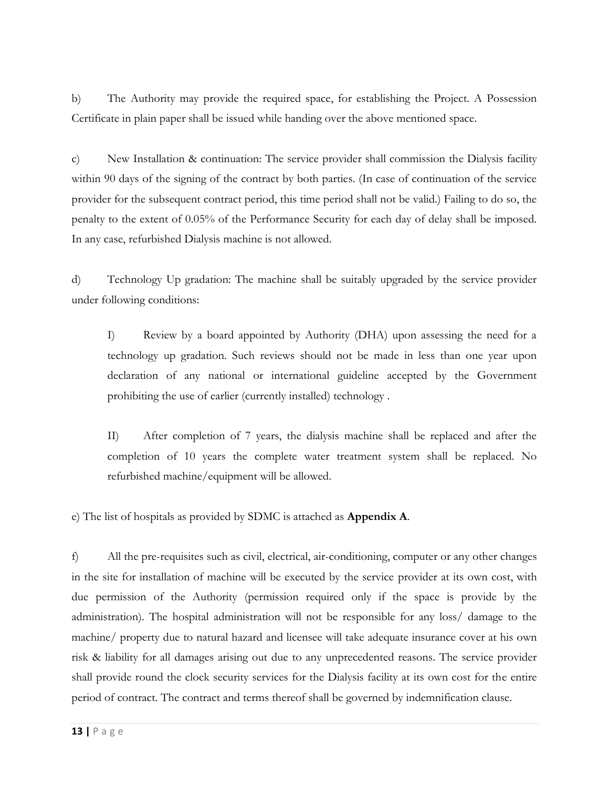b) The Authority may provide the required space, for establishing the Project. A Possession Certificate in plain paper shall be issued while handing over the above mentioned space.

c) New Installation & continuation: The service provider shall commission the Dialysis facility within 90 days of the signing of the contract by both parties. (In case of continuation of the service provider for the subsequent contract period, this time period shall not be valid.) Failing to do so, the penalty to the extent of 0.05% of the Performance Security for each day of delay shall be imposed. In any case, refurbished Dialysis machine is not allowed.

d) Technology Up gradation: The machine shall be suitably upgraded by the service provider under following conditions:

I) Review by a board appointed by Authority (DHA) upon assessing the need for a technology up gradation. Such reviews should not be made in less than one year upon declaration of any national or international guideline accepted by the Government prohibiting the use of earlier (currently installed) technology .

II) After completion of 7 years, the dialysis machine shall be replaced and after the completion of 10 years the complete water treatment system shall be replaced. No refurbished machine/equipment will be allowed.

e) The list of hospitals as provided by SDMC is attached as **Appendix A**.

f) All the pre-requisites such as civil, electrical, air-conditioning, computer or any other changes in the site for installation of machine will be executed by the service provider at its own cost, with due permission of the Authority (permission required only if the space is provide by the administration). The hospital administration will not be responsible for any loss/ damage to the machine/ property due to natural hazard and licensee will take adequate insurance cover at his own risk & liability for all damages arising out due to any unprecedented reasons. The service provider shall provide round the clock security services for the Dialysis facility at its own cost for the entire period of contract. The contract and terms thereof shall be governed by indemnification clause.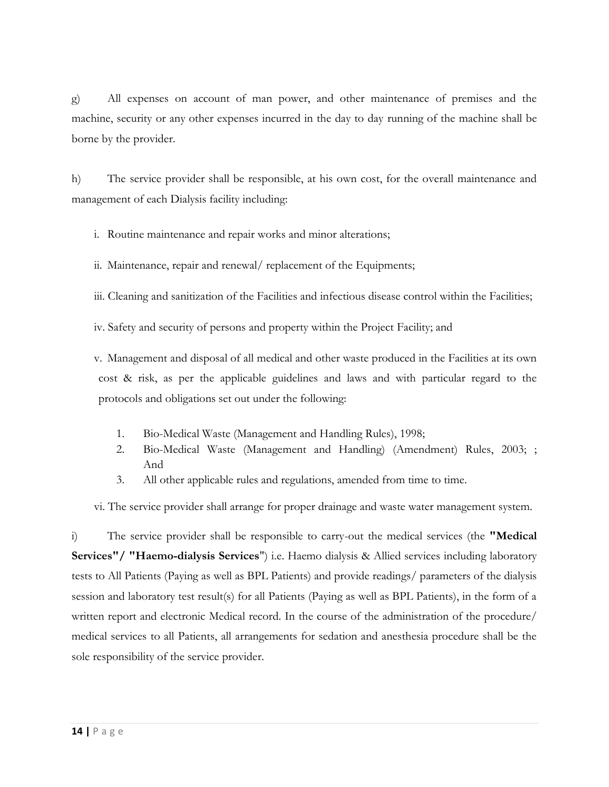g) All expenses on account of man power, and other maintenance of premises and the machine, security or any other expenses incurred in the day to day running of the machine shall be borne by the provider.

h) The service provider shall be responsible, at his own cost, for the overall maintenance and management of each Dialysis facility including:

i. Routine maintenance and repair works and minor alterations;

ii. Maintenance, repair and renewal/ replacement of the Equipments;

iii. Cleaning and sanitization of the Facilities and infectious disease control within the Facilities;

iv. Safety and security of persons and property within the Project Facility; and

v. Management and disposal of all medical and other waste produced in the Facilities at its own cost & risk, as per the applicable guidelines and laws and with particular regard to the protocols and obligations set out under the following:

- 1. Bio-Medical Waste (Management and Handling Rules), 1998;
- 2. Bio-Medical Waste (Management and Handling) (Amendment) Rules, 2003; ; And
- 3. All other applicable rules and regulations, amended from time to time.

vi. The service provider shall arrange for proper drainage and waste water management system.

i) The service provider shall be responsible to carry-out the medical services (the **"Medical Services"/ "Haemo-dialysis Services**") i.e. Haemo dialysis & Allied services including laboratory tests to All Patients (Paying as well as BPL Patients) and provide readings/ parameters of the dialysis session and laboratory test result(s) for all Patients (Paying as well as BPL Patients), in the form of a written report and electronic Medical record. In the course of the administration of the procedure/ medical services to all Patients, all arrangements for sedation and anesthesia procedure shall be the sole responsibility of the service provider.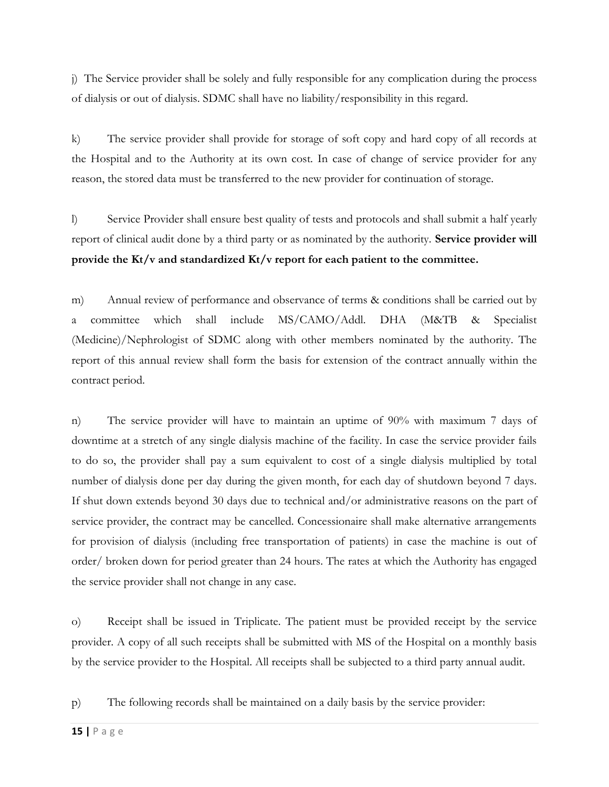j) The Service provider shall be solely and fully responsible for any complication during the process of dialysis or out of dialysis. SDMC shall have no liability/responsibility in this regard.

k) The service provider shall provide for storage of soft copy and hard copy of all records at the Hospital and to the Authority at its own cost. In case of change of service provider for any reason, the stored data must be transferred to the new provider for continuation of storage.

l) Service Provider shall ensure best quality of tests and protocols and shall submit a half yearly report of clinical audit done by a third party or as nominated by the authority. **Service provider will provide the Kt/v and standardized Kt/v report for each patient to the committee.**

m) Annual review of performance and observance of terms & conditions shall be carried out by a committee which shall include MS/CAMO/Addl. DHA (M&TB & Specialist (Medicine)/Nephrologist of SDMC along with other members nominated by the authority. The report of this annual review shall form the basis for extension of the contract annually within the contract period.

n) The service provider will have to maintain an uptime of 90% with maximum 7 days of downtime at a stretch of any single dialysis machine of the facility. In case the service provider fails to do so, the provider shall pay a sum equivalent to cost of a single dialysis multiplied by total number of dialysis done per day during the given month, for each day of shutdown beyond 7 days. If shut down extends beyond 30 days due to technical and/or administrative reasons on the part of service provider, the contract may be cancelled. Concessionaire shall make alternative arrangements for provision of dialysis (including free transportation of patients) in case the machine is out of order/ broken down for period greater than 24 hours. The rates at which the Authority has engaged the service provider shall not change in any case.

o) Receipt shall be issued in Triplicate. The patient must be provided receipt by the service provider. A copy of all such receipts shall be submitted with MS of the Hospital on a monthly basis by the service provider to the Hospital. All receipts shall be subjected to a third party annual audit.

p) The following records shall be maintained on a daily basis by the service provider: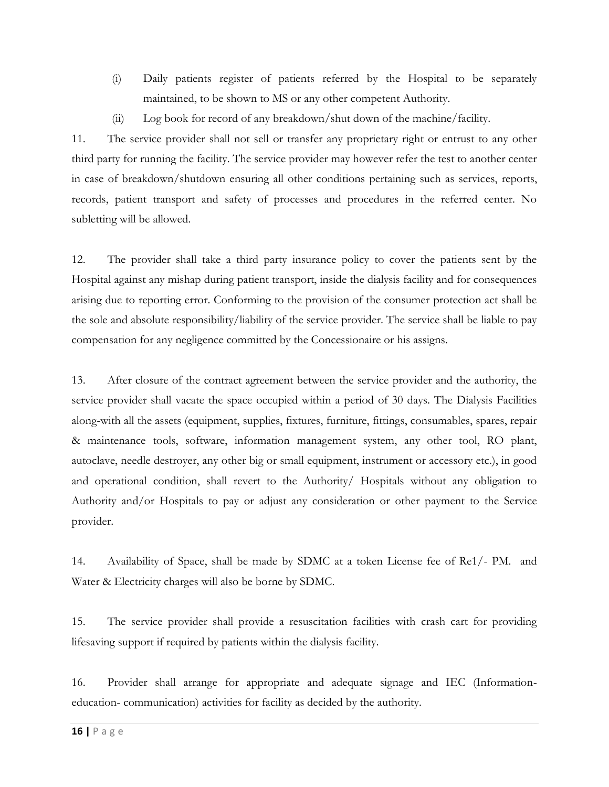- (i) Daily patients register of patients referred by the Hospital to be separately maintained, to be shown to MS or any other competent Authority.
- (ii) Log book for record of any breakdown/shut down of the machine/facility.

11. The service provider shall not sell or transfer any proprietary right or entrust to any other third party for running the facility. The service provider may however refer the test to another center in case of breakdown/shutdown ensuring all other conditions pertaining such as services, reports, records, patient transport and safety of processes and procedures in the referred center. No subletting will be allowed.

12. The provider shall take a third party insurance policy to cover the patients sent by the Hospital against any mishap during patient transport, inside the dialysis facility and for consequences arising due to reporting error. Conforming to the provision of the consumer protection act shall be the sole and absolute responsibility/liability of the service provider. The service shall be liable to pay compensation for any negligence committed by the Concessionaire or his assigns.

13. After closure of the contract agreement between the service provider and the authority, the service provider shall vacate the space occupied within a period of 30 days. The Dialysis Facilities along-with all the assets (equipment, supplies, fixtures, furniture, fittings, consumables, spares, repair & maintenance tools, software, information management system, any other tool, RO plant, autoclave, needle destroyer, any other big or small equipment, instrument or accessory etc.), in good and operational condition, shall revert to the Authority/ Hospitals without any obligation to Authority and/or Hospitals to pay or adjust any consideration or other payment to the Service provider.

14. Availability of Space, shall be made by SDMC at a token License fee of Re1/- PM. and Water & Electricity charges will also be borne by SDMC.

15. The service provider shall provide a resuscitation facilities with crash cart for providing lifesaving support if required by patients within the dialysis facility.

16. Provider shall arrange for appropriate and adequate signage and IEC (Informationeducation- communication) activities for facility as decided by the authority.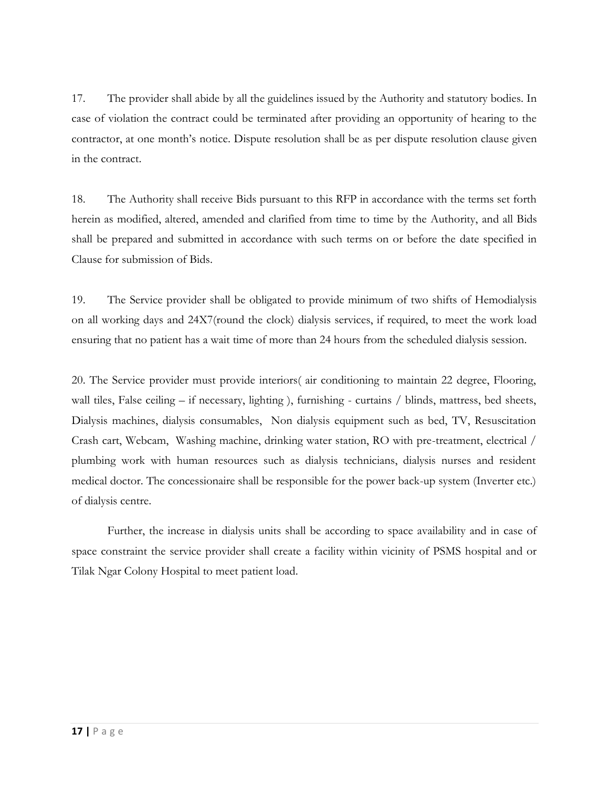17. The provider shall abide by all the guidelines issued by the Authority and statutory bodies. In case of violation the contract could be terminated after providing an opportunity of hearing to the contractor, at one month's notice. Dispute resolution shall be as per dispute resolution clause given in the contract.

18. The Authority shall receive Bids pursuant to this RFP in accordance with the terms set forth herein as modified, altered, amended and clarified from time to time by the Authority, and all Bids shall be prepared and submitted in accordance with such terms on or before the date specified in Clause for submission of Bids.

19. The Service provider shall be obligated to provide minimum of two shifts of Hemodialysis on all working days and 24X7(round the clock) dialysis services, if required, to meet the work load ensuring that no patient has a wait time of more than 24 hours from the scheduled dialysis session.

20. The Service provider must provide interiors( air conditioning to maintain 22 degree, Flooring, wall tiles, False ceiling – if necessary, lighting ), furnishing - curtains / blinds, mattress, bed sheets, Dialysis machines, dialysis consumables, Non dialysis equipment such as bed, TV, Resuscitation Crash cart, Webcam, Washing machine, drinking water station, RO with pre-treatment, electrical / plumbing work with human resources such as dialysis technicians, dialysis nurses and resident medical doctor. The concessionaire shall be responsible for the power back-up system (Inverter etc.) of dialysis centre.

 Further, the increase in dialysis units shall be according to space availability and in case of space constraint the service provider shall create a facility within vicinity of PSMS hospital and or Tilak Ngar Colony Hospital to meet patient load.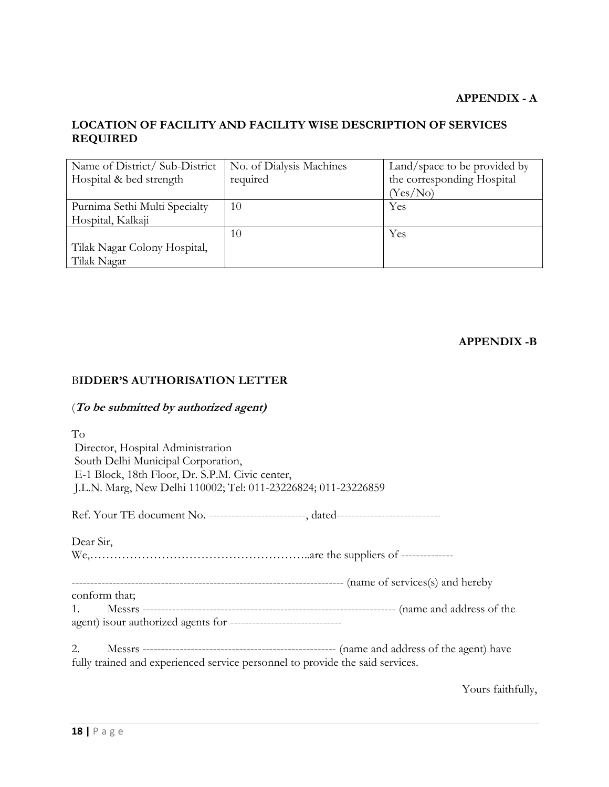## **APPENDIX - A**

# **LOCATION OF FACILITY AND FACILITY WISE DESCRIPTION OF SERVICES REQUIRED**

| Name of District/Sub-District | No. of Dialysis Machines | Land/space to be provided by |
|-------------------------------|--------------------------|------------------------------|
| Hospital & bed strength       | required                 | the corresponding Hospital   |
|                               |                          | (Yes/No)                     |
| Purnima Sethi Multi Specialty | 10                       | Yes                          |
| Hospital, Kalkaji             |                          |                              |
|                               | 10                       | Yes                          |
| Tilak Nagar Colony Hospital,  |                          |                              |
| Tilak Nagar                   |                          |                              |

**APPENDIX -B**

## B**IDDER'S AUTHORISATION LETTER**

## (**To be submitted by authorized agent)**

| To<br>Director, Hospital Administration<br>South Delhi Municipal Corporation,<br>E-1 Block, 18th Floor, Dr. S.P.M. Civic center,<br>J.L.N. Marg, New Delhi 110002; Tel: 011-23226824; 011-23226859 |
|----------------------------------------------------------------------------------------------------------------------------------------------------------------------------------------------------|
|                                                                                                                                                                                                    |
| Dear Sir,                                                                                                                                                                                          |
|                                                                                                                                                                                                    |
| conform that;<br>1.<br>agent) isour authorized agents for --------------------------------                                                                                                         |
| 2.<br>fully trained and experienced service personnel to provide the said services.                                                                                                                |

Yours faithfully,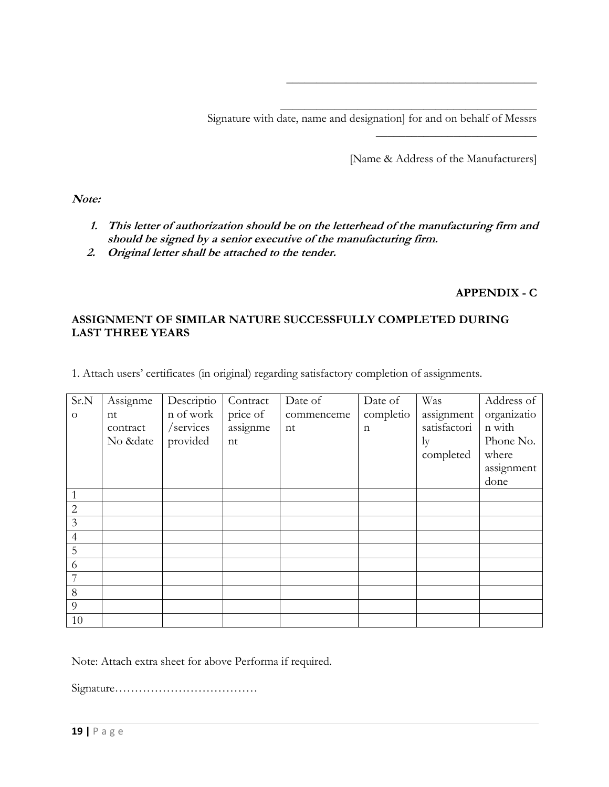Signature with date, name and designation] for and on behalf of Messrs

[Name & Address of the Manufacturers]

 $\overline{\phantom{a}}$  , where  $\overline{\phantom{a}}$  , where  $\overline{\phantom{a}}$  , where  $\overline{\phantom{a}}$ 

\_\_\_\_\_\_\_\_\_\_\_\_\_\_\_\_\_\_\_\_\_\_\_\_\_\_\_\_\_\_\_\_\_\_\_\_\_\_\_\_\_\_

\_\_\_\_\_\_\_\_\_\_\_\_\_\_\_\_\_\_\_\_\_\_\_\_\_\_\_\_\_\_\_\_\_\_\_\_\_\_\_\_\_\_\_

**Note:**

- **1. This letter of authorization should be on the letterhead of the manufacturing firm and should be signed by a senior executive of the manufacturing firm.**
- **2. Original letter shall be attached to the tender.**

# **APPENDIX - C**

# **ASSIGNMENT OF SIMILAR NATURE SUCCESSFULLY COMPLETED DURING LAST THREE YEARS**

1. Attach users' certificates (in original) regarding satisfactory completion of assignments.

| Sr.N           | Assignme | Descriptio | Contract | Date of    | Date of     | Was          | Address of  |
|----------------|----------|------------|----------|------------|-------------|--------------|-------------|
| $\Omega$       | nt       | n of work  | price of | commenceme | completio   | assignment   | organizatio |
|                | contract | /services  | assignme | nt         | $\mathbf n$ | satisfactori | n with      |
|                | No &date | provided   | nt       |            |             | ly           | Phone No.   |
|                |          |            |          |            |             | completed    | where       |
|                |          |            |          |            |             |              | assignment  |
|                |          |            |          |            |             |              | done        |
| $\mathbf{1}$   |          |            |          |            |             |              |             |
| $\overline{2}$ |          |            |          |            |             |              |             |
| $\overline{3}$ |          |            |          |            |             |              |             |
| $\overline{4}$ |          |            |          |            |             |              |             |
| 5              |          |            |          |            |             |              |             |
| 6              |          |            |          |            |             |              |             |
| 7              |          |            |          |            |             |              |             |
| 8              |          |            |          |            |             |              |             |
| 9              |          |            |          |            |             |              |             |
| 10             |          |            |          |            |             |              |             |

Note: Attach extra sheet for above Performa if required.

Signature………………………………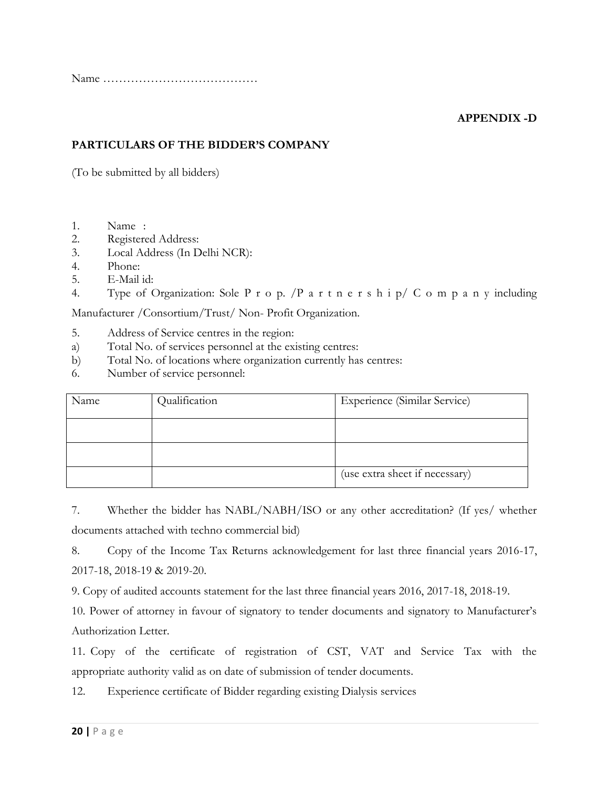Name …………………………………

## **APPENDIX -D**

## **PARTICULARS OF THE BIDDER'S COMPANY**

(To be submitted by all bidders)

- 1. Name :
- 2. Registered Address:
- 3. Local Address (In Delhi NCR):
- 4. Phone:
- 5. E-Mail id:
- 4. Type of Organization: Sole P r o p. /P a r t n e r s h i p/ C o m p a n y including

Manufacturer /Consortium/Trust/ Non- Profit Organization.

- 5. Address of Service centres in the region:
- a) Total No. of services personnel at the existing centres:
- b) Total No. of locations where organization currently has centres:
- 6. Number of service personnel:

| Name | Qualification | <b>Experience (Similar Service)</b> |
|------|---------------|-------------------------------------|
|      |               |                                     |
|      |               |                                     |
|      |               | (use extra sheet if necessary)      |

7. Whether the bidder has NABL/NABH/ISO or any other accreditation? (If yes/ whether documents attached with techno commercial bid)

8. Copy of the Income Tax Returns acknowledgement for last three financial years 2016-17, 2017-18, 2018-19 & 2019-20.

9. Copy of audited accounts statement for the last three financial years 2016, 2017-18, 2018-19.

10. Power of attorney in favour of signatory to tender documents and signatory to Manufacturer's Authorization Letter.

11. Copy of the certificate of registration of CST, VAT and Service Tax with the appropriate authority valid as on date of submission of tender documents.

12. Experience certificate of Bidder regarding existing Dialysis services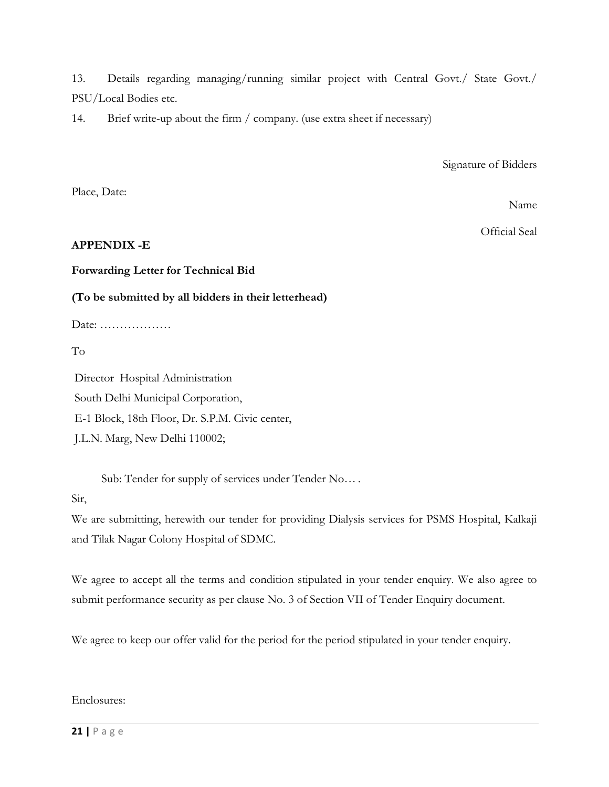13. Details regarding managing/running similar project with Central Govt./ State Govt./ PSU/Local Bodies etc.

14. Brief write-up about the firm / company. (use extra sheet if necessary)

Signature of Bidders

Place, Date:

Name

Official Seal

## **APPENDIX -E**

**Forwarding Letter for Technical Bid**

**(To be submitted by all bidders in their letterhead)**

Date: ………………

To

Director Hospital Administration South Delhi Municipal Corporation, E-1 Block, 18th Floor, Dr. S.P.M. Civic center, J.L.N. Marg, New Delhi 110002;

Sub: Tender for supply of services under Tender No… .

Sir,

We are submitting, herewith our tender for providing Dialysis services for PSMS Hospital, Kalkaji and Tilak Nagar Colony Hospital of SDMC.

We agree to accept all the terms and condition stipulated in your tender enquiry. We also agree to submit performance security as per clause No. 3 of Section VII of Tender Enquiry document.

We agree to keep our offer valid for the period for the period stipulated in your tender enquiry.

Enclosures: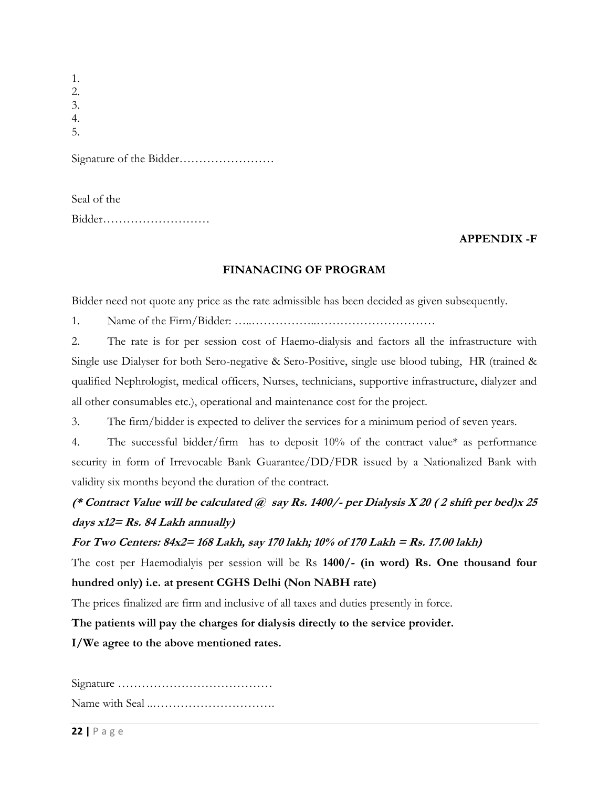| 1. |
|----|
| 2. |
| 3. |
|    |
| 5. |
|    |
|    |

| Seal of the |  |
|-------------|--|
|             |  |

#### **APPENDIX -F**

#### **FINANACING OF PROGRAM**

Bidder need not quote any price as the rate admissible has been decided as given subsequently.

1. Name of the Firm/Bidder: …..……………..…………………………

2. The rate is for per session cost of Haemo-dialysis and factors all the infrastructure with Single use Dialyser for both Sero-negative & Sero-Positive, single use blood tubing, HR (trained & qualified Nephrologist, medical officers, Nurses, technicians, supportive infrastructure, dialyzer and all other consumables etc.), operational and maintenance cost for the project.

3. The firm/bidder is expected to deliver the services for a minimum period of seven years.

4. The successful bidder/firm has to deposit 10% of the contract value\* as performance security in form of Irrevocable Bank Guarantee/DD/FDR issued by a Nationalized Bank with validity six months beyond the duration of the contract.

# **(\* Contract Value will be calculated @ say Rs. 1400/- per Dialysis X 20 ( 2 shift per bed)x 25 days x12= Rs. 84 Lakh annually)**

#### **For Two Centers: 84x2= 168 Lakh, say 170 lakh; 10% of 170 Lakh = Rs. 17.00 lakh)**

The cost per Haemodialyis per session will be Rs **1400/- (in word) Rs. One thousand four hundred only) i.e. at present CGHS Delhi (Non NABH rate)**

The prices finalized are firm and inclusive of all taxes and duties presently in force.

**The patients will pay the charges for dialysis directly to the service provider.**

**I/We agree to the above mentioned rates.**

Signature ………………………………… Name with Seal ..………………………….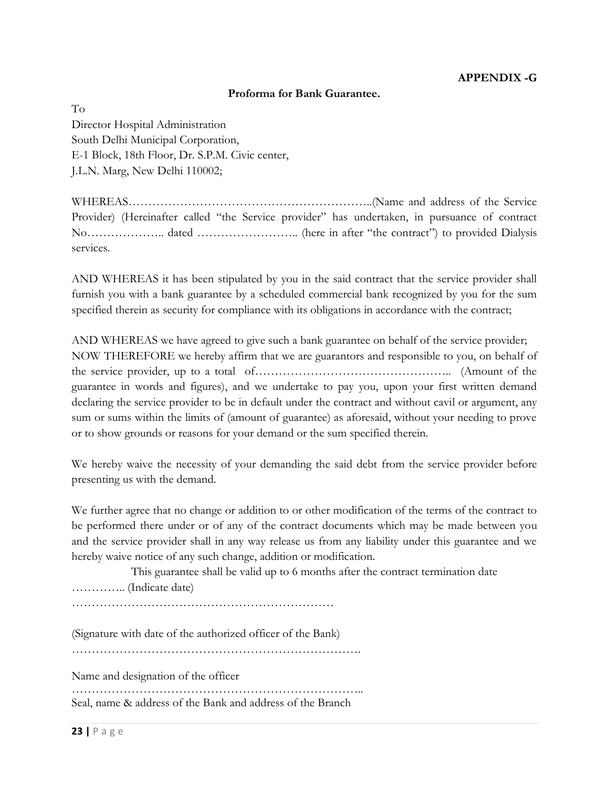#### **Proforma for Bank Guarantee.**

To Director Hospital Administration South Delhi Municipal Corporation, E-1 Block, 18th Floor, Dr. S.P.M. Civic center, J.L.N. Marg, New Delhi 110002;

WHEREAS……………………………………………………..(Name and address of the Service Provider) (Hereinafter called "the Service provider" has undertaken, in pursuance of contract No……………….. dated …………………….. (here in after "the contract") to provided Dialysis services.

AND WHEREAS it has been stipulated by you in the said contract that the service provider shall furnish you with a bank guarantee by a scheduled commercial bank recognized by you for the sum specified therein as security for compliance with its obligations in accordance with the contract;

AND WHEREAS we have agreed to give such a bank guarantee on behalf of the service provider; NOW THEREFORE we hereby affirm that we are guarantors and responsible to you, on behalf of the service provider, up to a total of………………………………………….. (Amount of the guarantee in words and figures), and we undertake to pay you, upon your first written demand declaring the service provider to be in default under the contract and without cavil or argument, any sum or sums within the limits of (amount of guarantee) as aforesaid, without your needing to prove or to show grounds or reasons for your demand or the sum specified therein.

We hereby waive the necessity of your demanding the said debt from the service provider before presenting us with the demand.

We further agree that no change or addition to or other modification of the terms of the contract to be performed there under or of any of the contract documents which may be made between you and the service provider shall in any way release us from any liability under this guarantee and we hereby waive notice of any such change, addition or modification.

 This guarantee shall be valid up to 6 months after the contract termination date ………….. (Indicate date)

…………………………………………………………

(Signature with date of the authorized officer of the Bank)

……………………………………………………………….

Name and designation of the officer

……………………………………………………………….. Seal, name & address of the Bank and address of the Branch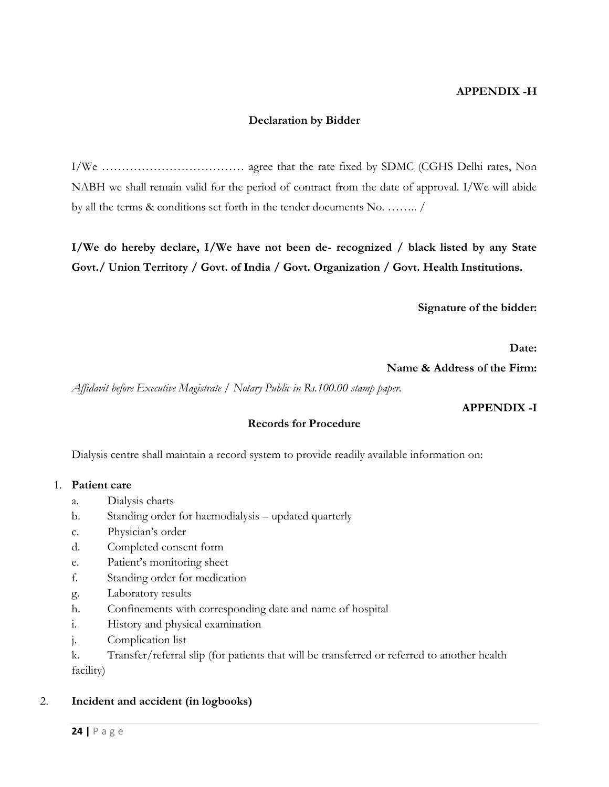#### **APPENDIX -H**

#### **Declaration by Bidder**

I/We ……………………………… agree that the rate fixed by SDMC (CGHS Delhi rates, Non NABH we shall remain valid for the period of contract from the date of approval. I/We will abide by all the terms & conditions set forth in the tender documents No. …….. /

**I/We do hereby declare, I/We have not been de- recognized / black listed by any State Govt./ Union Territory / Govt. of India / Govt. Organization / Govt. Health Institutions.**

**Signature of the bidder:**

**Date:**

**Name & Address of the Firm:**

*Affidavit before Executive Magistrate / Notary Public in Rs.100.00 stamp paper.*

#### **APPENDIX -I**

#### **Records for Procedure**

Dialysis centre shall maintain a record system to provide readily available information on:

#### 1. **Patient care**

- a. Dialysis charts
- b. Standing order for haemodialysis updated quarterly
- c. Physician's order
- d. Completed consent form
- e. Patient's monitoring sheet
- f. Standing order for medication
- g. Laboratory results
- h. Confinements with corresponding date and name of hospital
- i. History and physical examination
- j. Complication list
- k. Transfer/referral slip (for patients that will be transferred or referred to another health facility)

#### 2. **Incident and accident (in logbooks)**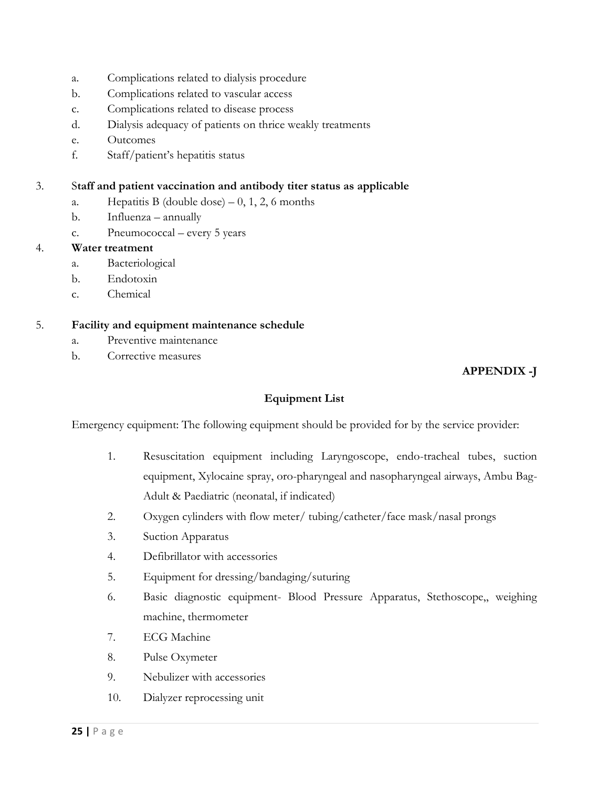- a. Complications related to dialysis procedure
- b. Complications related to vascular access
- c. Complications related to disease process
- d. Dialysis adequacy of patients on thrice weakly treatments
- e. Outcomes
- f. Staff/patient's hepatitis status

#### 3. S**taff and patient vaccination and antibody titer status as applicable**

- a. Hepatitis B (double dose)  $-0$ , 1, 2, 6 months
- b. Influenza annually
- c. Pneumococcal every 5 years

#### 4. **Water treatment**

- a. Bacteriological
- b. Endotoxin
- c. Chemical

#### 5. **Facility and equipment maintenance schedule**

- a. Preventive maintenance
- b. Corrective measures

# **APPENDIX -J**

## **Equipment List**

Emergency equipment: The following equipment should be provided for by the service provider:

- 1. Resuscitation equipment including Laryngoscope, endo-tracheal tubes, suction equipment, Xylocaine spray, oro-pharyngeal and nasopharyngeal airways, Ambu Bag-Adult & Paediatric (neonatal, if indicated)
- 2. Oxygen cylinders with flow meter/ tubing/catheter/face mask/nasal prongs
- 3. Suction Apparatus
- 4. Defibrillator with accessories
- 5. Equipment for dressing/bandaging/suturing
- 6. Basic diagnostic equipment- Blood Pressure Apparatus, Stethoscope,, weighing machine, thermometer
- 7. ECG Machine
- 8. Pulse Oxymeter
- 9. Nebulizer with accessories
- 10. Dialyzer reprocessing unit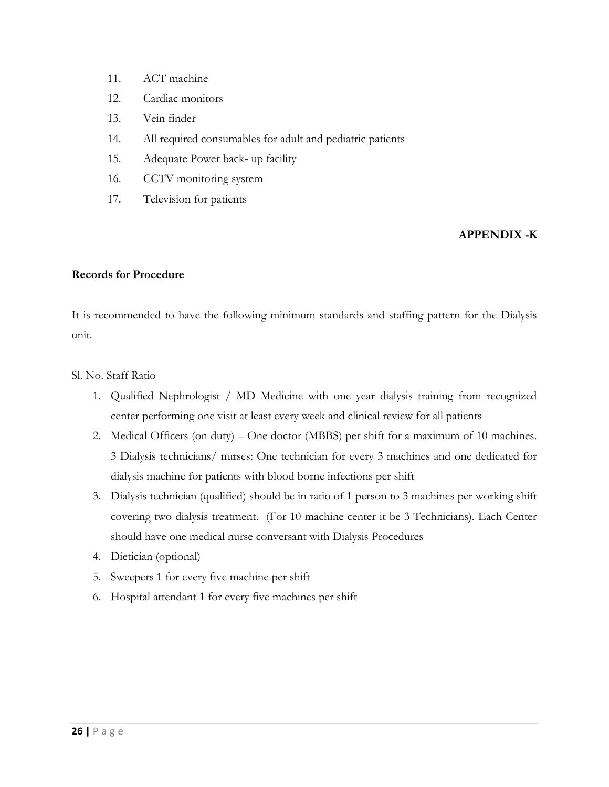- 11. ACT machine
- 12. Cardiac monitors
- 13. Vein finder
- 14. All required consumables for adult and pediatric patients
- 15. Adequate Power back- up facility
- 16. CCTV monitoring system
- 17. Television for patients

#### **APPENDIX -K**

#### **Records for Procedure**

It is recommended to have the following minimum standards and staffing pattern for the Dialysis unit.

Sl. No. Staff Ratio

- 1. Qualified Nephrologist / MD Medicine with one year dialysis training from recognized center performing one visit at least every week and clinical review for all patients
- 2. Medical Officers (on duty) One doctor (MBBS) per shift for a maximum of 10 machines. 3 Dialysis technicians/ nurses: One technician for every 3 machines and one dedicated for dialysis machine for patients with blood borne infections per shift
- 3. Dialysis technician (qualified) should be in ratio of 1 person to 3 machines per working shift covering two dialysis treatment. (For 10 machine center it be 3 Technicians). Each Center should have one medical nurse conversant with Dialysis Procedures
- 4. Dietician (optional)
- 5. Sweepers 1 for every five machine per shift
- 6. Hospital attendant 1 for every five machines per shift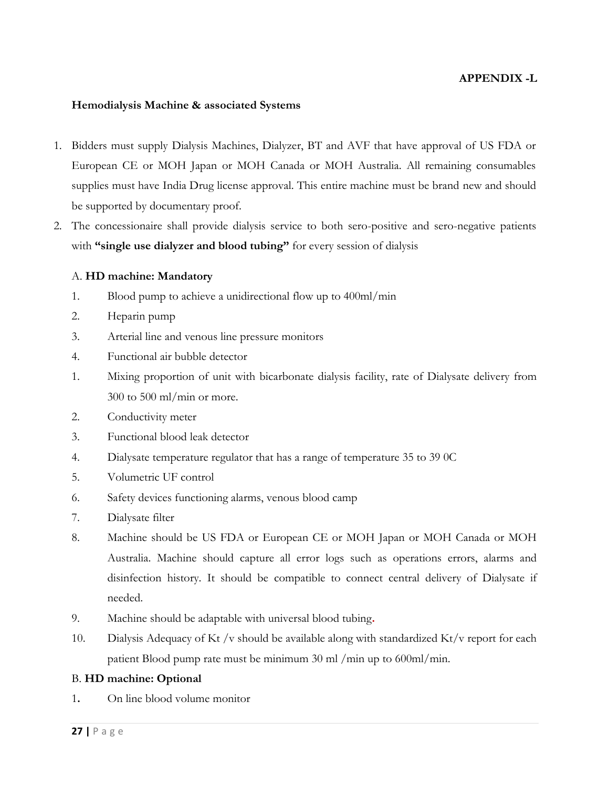#### **APPENDIX -L**

#### **Hemodialysis Machine & associated Systems**

- 1. Bidders must supply Dialysis Machines, Dialyzer, BT and AVF that have approval of US FDA or European CE or MOH Japan or MOH Canada or MOH Australia. All remaining consumables supplies must have India Drug license approval. This entire machine must be brand new and should be supported by documentary proof.
- 2. The concessionaire shall provide dialysis service to both sero-positive and sero-negative patients with **"single use dialyzer and blood tubing"** for every session of dialysis

#### A. **HD machine: Mandatory**

- 1. Blood pump to achieve a unidirectional flow up to 400ml/min
- 2. Heparin pump
- 3. Arterial line and venous line pressure monitors
- 4. Functional air bubble detector
- 1. Mixing proportion of unit with bicarbonate dialysis facility, rate of Dialysate delivery from 300 to 500 ml/min or more.
- 2. Conductivity meter
- 3. Functional blood leak detector
- 4. Dialysate temperature regulator that has a range of temperature 35 to 39 0C
- 5. Volumetric UF control
- 6. Safety devices functioning alarms, venous blood camp
- 7. Dialysate filter
- 8. Machine should be US FDA or European CE or MOH Japan or MOH Canada or MOH Australia. Machine should capture all error logs such as operations errors, alarms and disinfection history. It should be compatible to connect central delivery of Dialysate if needed.
- 9. Machine should be adaptable with universal blood tubing**.**
- 10. Dialysis Adequacy of Kt /v should be available along with standardized Kt/v report for each patient Blood pump rate must be minimum 30 ml /min up to 600ml/min.

#### B. **HD machine: Optional**

1**.** On line blood volume monitor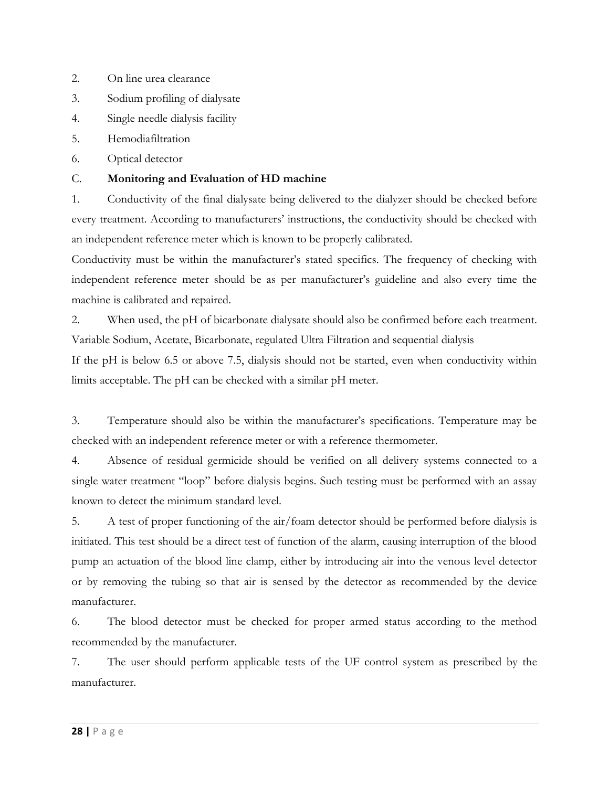- 2. On line urea clearance
- 3. Sodium profiling of dialysate
- 4. Single needle dialysis facility
- 5. Hemodiafiltration
- 6. Optical detector

## C. **Monitoring and Evaluation of HD machine**

1. Conductivity of the final dialysate being delivered to the dialyzer should be checked before every treatment. According to manufacturers' instructions, the conductivity should be checked with an independent reference meter which is known to be properly calibrated.

Conductivity must be within the manufacturer's stated specifics. The frequency of checking with independent reference meter should be as per manufacturer's guideline and also every time the machine is calibrated and repaired.

2. When used, the pH of bicarbonate dialysate should also be confirmed before each treatment. Variable Sodium, Acetate, Bicarbonate, regulated Ultra Filtration and sequential dialysis

If the pH is below 6.5 or above 7.5, dialysis should not be started, even when conductivity within limits acceptable. The pH can be checked with a similar pH meter.

3. Temperature should also be within the manufacturer's specifications. Temperature may be checked with an independent reference meter or with a reference thermometer.

4. Absence of residual germicide should be verified on all delivery systems connected to a single water treatment "loop" before dialysis begins. Such testing must be performed with an assay known to detect the minimum standard level.

5. A test of proper functioning of the air/foam detector should be performed before dialysis is initiated. This test should be a direct test of function of the alarm, causing interruption of the blood pump an actuation of the blood line clamp, either by introducing air into the venous level detector or by removing the tubing so that air is sensed by the detector as recommended by the device manufacturer.

6. The blood detector must be checked for proper armed status according to the method recommended by the manufacturer.

7. The user should perform applicable tests of the UF control system as prescribed by the manufacturer.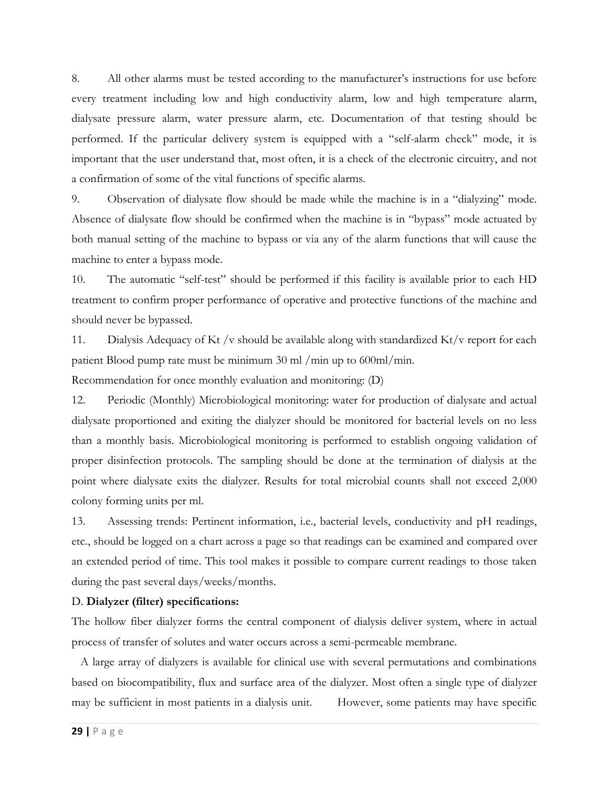8. All other alarms must be tested according to the manufacturer's instructions for use before every treatment including low and high conductivity alarm, low and high temperature alarm, dialysate pressure alarm, water pressure alarm, etc. Documentation of that testing should be performed. If the particular delivery system is equipped with a "self-alarm check" mode, it is important that the user understand that, most often, it is a check of the electronic circuitry, and not a confirmation of some of the vital functions of specific alarms.

9. Observation of dialysate flow should be made while the machine is in a "dialyzing" mode. Absence of dialysate flow should be confirmed when the machine is in "bypass" mode actuated by both manual setting of the machine to bypass or via any of the alarm functions that will cause the machine to enter a bypass mode.

10. The automatic "self-test" should be performed if this facility is available prior to each HD treatment to confirm proper performance of operative and protective functions of the machine and should never be bypassed.

11. Dialysis Adequacy of Kt /v should be available along with standardized Kt/v report for each patient Blood pump rate must be minimum 30 ml /min up to 600ml/min.

Recommendation for once monthly evaluation and monitoring: (D)

12. Periodic (Monthly) Microbiological monitoring: water for production of dialysate and actual dialysate proportioned and exiting the dialyzer should be monitored for bacterial levels on no less than a monthly basis. Microbiological monitoring is performed to establish ongoing validation of proper disinfection protocols. The sampling should be done at the termination of dialysis at the point where dialysate exits the dialyzer. Results for total microbial counts shall not exceed 2,000 colony forming units per ml.

13. Assessing trends: Pertinent information, i.e., bacterial levels, conductivity and pH readings, etc., should be logged on a chart across a page so that readings can be examined and compared over an extended period of time. This tool makes it possible to compare current readings to those taken during the past several days/weeks/months.

#### D. **Dialyzer (filter) specifications:**

The hollow fiber dialyzer forms the central component of dialysis deliver system, where in actual process of transfer of solutes and water occurs across a semi-permeable membrane.

 A large array of dialyzers is available for clinical use with several permutations and combinations based on biocompatibility, flux and surface area of the dialyzer. Most often a single type of dialyzer may be sufficient in most patients in a dialysis unit. However, some patients may have specific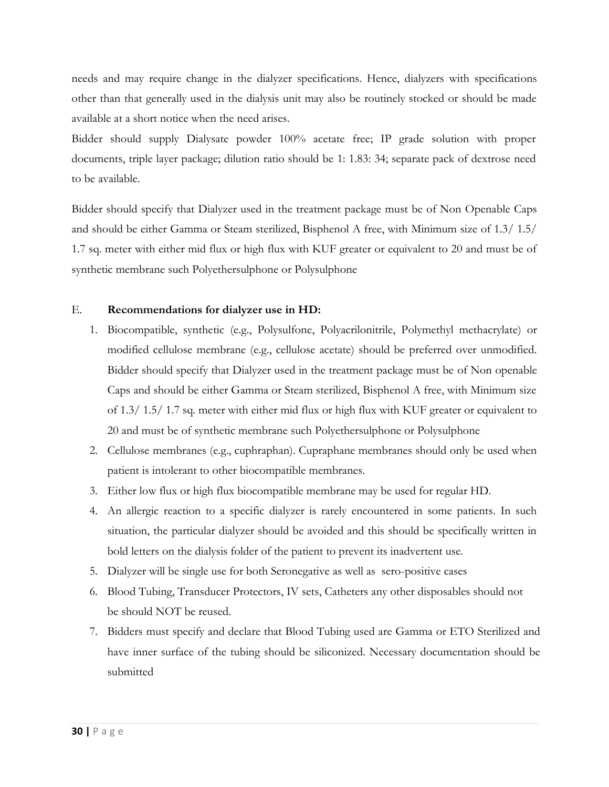needs and may require change in the dialyzer specifications. Hence, dialyzers with specifications other than that generally used in the dialysis unit may also be routinely stocked or should be made available at a short notice when the need arises.

Bidder should supply Dialysate powder 100% acetate free; IP grade solution with proper documents, triple layer package; dilution ratio should be 1: 1.83: 34; separate pack of dextrose need to be available.

Bidder should specify that Dialyzer used in the treatment package must be of Non Openable Caps and should be either Gamma or Steam sterilized, Bisphenol A free, with Minimum size of 1.3/ 1.5/ 1.7 sq. meter with either mid flux or high flux with KUF greater or equivalent to 20 and must be of synthetic membrane such Polyethersulphone or Polysulphone

#### E. **Recommendations for dialyzer use in HD:**

- 1. Biocompatible, synthetic (e.g., Polysulfone, Polyacrilonitrile, Polymethyl methacrylate) or modified cellulose membrane (e.g., cellulose acetate) should be preferred over unmodified. Bidder should specify that Dialyzer used in the treatment package must be of Non openable Caps and should be either Gamma or Steam sterilized, Bisphenol A free, with Minimum size of 1.3/ 1.5/ 1.7 sq. meter with either mid flux or high flux with KUF greater or equivalent to 20 and must be of synthetic membrane such Polyethersulphone or Polysulphone
- 2. Cellulose membranes (e.g., cuphraphan). Cupraphane membranes should only be used when patient is intolerant to other biocompatible membranes.
- 3. Either low flux or high flux biocompatible membrane may be used for regular HD.
- 4. An allergic reaction to a specific dialyzer is rarely encountered in some patients. In such situation, the particular dialyzer should be avoided and this should be specifically written in bold letters on the dialysis folder of the patient to prevent its inadvertent use.
- 5. Dialyzer will be single use for both Seronegative as well as sero-positive cases
- 6. Blood Tubing, Transducer Protectors, IV sets, Catheters any other disposables should not be should NOT be reused.
- 7. Bidders must specify and declare that Blood Tubing used are Gamma or ETO Sterilized and have inner surface of the tubing should be siliconized. Necessary documentation should be submitted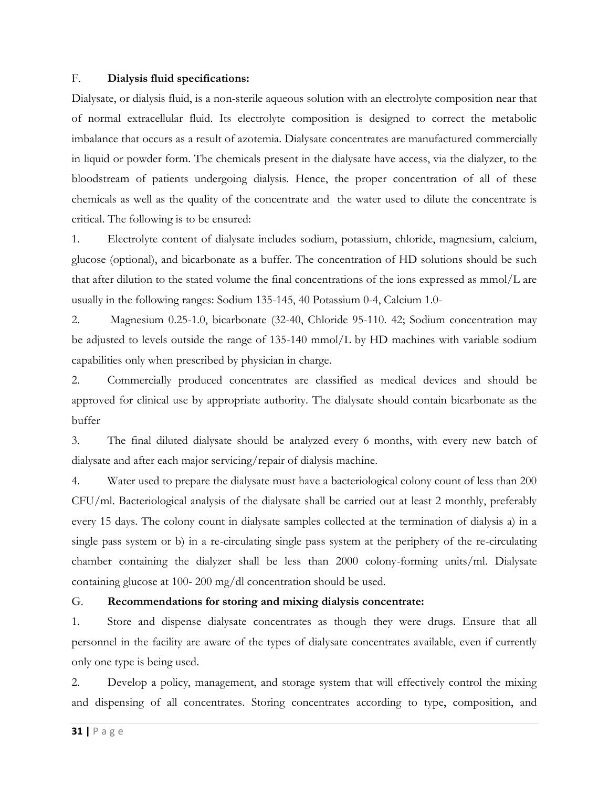#### F. **Dialysis fluid specifications:**

Dialysate, or dialysis fluid, is a non-sterile aqueous solution with an electrolyte composition near that of normal extracellular fluid. Its electrolyte composition is designed to correct the metabolic imbalance that occurs as a result of azotemia. Dialysate concentrates are manufactured commercially in liquid or powder form. The chemicals present in the dialysate have access, via the dialyzer, to the bloodstream of patients undergoing dialysis. Hence, the proper concentration of all of these chemicals as well as the quality of the concentrate and the water used to dilute the concentrate is critical. The following is to be ensured:

1. Electrolyte content of dialysate includes sodium, potassium, chloride, magnesium, calcium, glucose (optional), and bicarbonate as a buffer. The concentration of HD solutions should be such that after dilution to the stated volume the final concentrations of the ions expressed as mmol/L are usually in the following ranges: Sodium 135-145, 40 Potassium 0-4, Calcium 1.0-

2. Magnesium 0.25-1.0, bicarbonate (32-40, Chloride 95-110. 42; Sodium concentration may be adjusted to levels outside the range of 135-140 mmol/L by HD machines with variable sodium capabilities only when prescribed by physician in charge.

2. Commercially produced concentrates are classified as medical devices and should be approved for clinical use by appropriate authority. The dialysate should contain bicarbonate as the buffer

3. The final diluted dialysate should be analyzed every 6 months, with every new batch of dialysate and after each major servicing/repair of dialysis machine.

4. Water used to prepare the dialysate must have a bacteriological colony count of less than 200 CFU/ml. Bacteriological analysis of the dialysate shall be carried out at least 2 monthly, preferably every 15 days. The colony count in dialysate samples collected at the termination of dialysis a) in a single pass system or b) in a re-circulating single pass system at the periphery of the re-circulating chamber containing the dialyzer shall be less than 2000 colony-forming units/ml. Dialysate containing glucose at 100- 200 mg/dl concentration should be used.

#### G. **Recommendations for storing and mixing dialysis concentrate:**

1. Store and dispense dialysate concentrates as though they were drugs. Ensure that all personnel in the facility are aware of the types of dialysate concentrates available, even if currently only one type is being used.

2. Develop a policy, management, and storage system that will effectively control the mixing and dispensing of all concentrates. Storing concentrates according to type, composition, and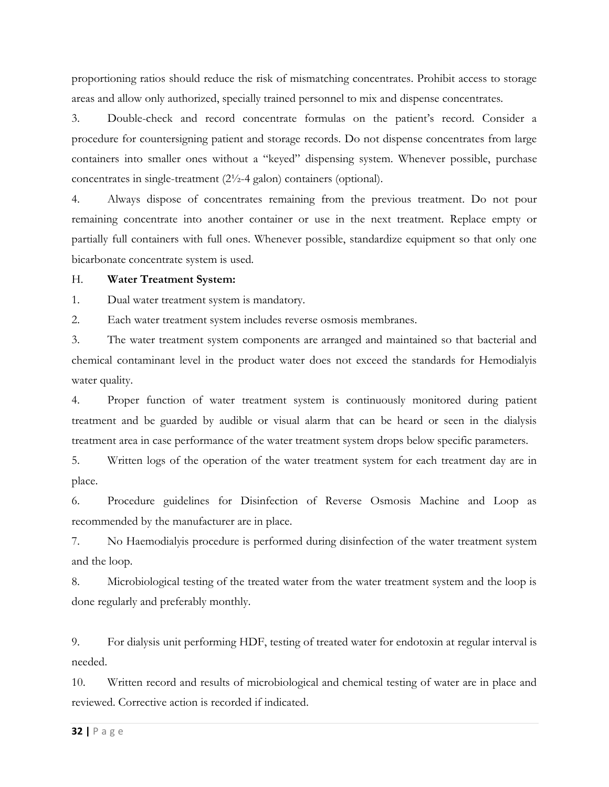proportioning ratios should reduce the risk of mismatching concentrates. Prohibit access to storage areas and allow only authorized, specially trained personnel to mix and dispense concentrates.

3. Double-check and record concentrate formulas on the patient's record. Consider a procedure for countersigning patient and storage records. Do not dispense concentrates from large containers into smaller ones without a "keyed" dispensing system. Whenever possible, purchase concentrates in single-treatment (2½-4 galon) containers (optional).

4. Always dispose of concentrates remaining from the previous treatment. Do not pour remaining concentrate into another container or use in the next treatment. Replace empty or partially full containers with full ones. Whenever possible, standardize equipment so that only one bicarbonate concentrate system is used.

#### H. **Water Treatment System:**

1. Dual water treatment system is mandatory.

2. Each water treatment system includes reverse osmosis membranes.

3. The water treatment system components are arranged and maintained so that bacterial and chemical contaminant level in the product water does not exceed the standards for Hemodialyis water quality.

4. Proper function of water treatment system is continuously monitored during patient treatment and be guarded by audible or visual alarm that can be heard or seen in the dialysis treatment area in case performance of the water treatment system drops below specific parameters.

5. Written logs of the operation of the water treatment system for each treatment day are in place.

6. Procedure guidelines for Disinfection of Reverse Osmosis Machine and Loop as recommended by the manufacturer are in place.

7. No Haemodialyis procedure is performed during disinfection of the water treatment system and the loop.

8. Microbiological testing of the treated water from the water treatment system and the loop is done regularly and preferably monthly.

9. For dialysis unit performing HDF, testing of treated water for endotoxin at regular interval is needed.

10. Written record and results of microbiological and chemical testing of water are in place and reviewed. Corrective action is recorded if indicated.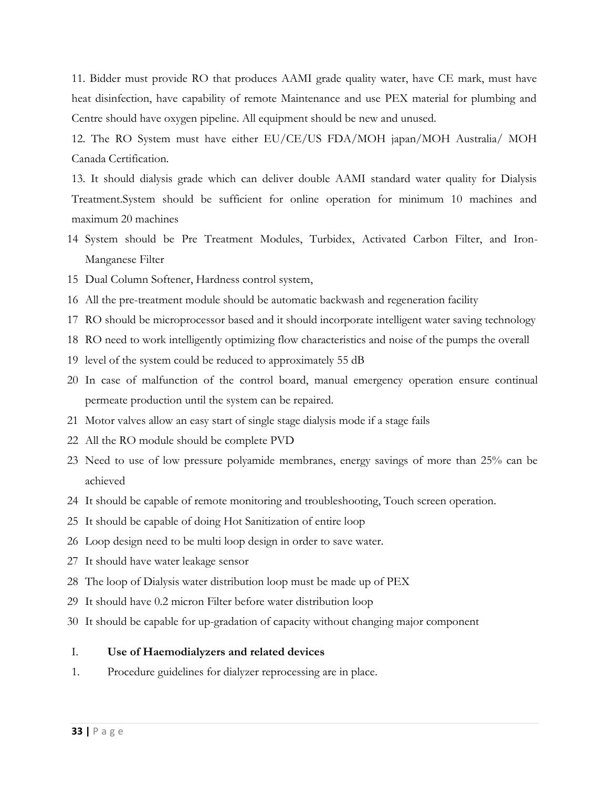11. Bidder must provide RO that produces AAMI grade quality water, have CE mark, must have heat disinfection, have capability of remote Maintenance and use PEX material for plumbing and Centre should have oxygen pipeline. All equipment should be new and unused.

12. The RO System must have either EU/CE/US FDA/MOH japan/MOH Australia/ MOH Canada Certification.

13. It should dialysis grade which can deliver double AAMI standard water quality for Dialysis Treatment.System should be sufficient for online operation for minimum 10 machines and maximum 20 machines

- 14 System should be Pre Treatment Modules, Turbidex, Activated Carbon Filter, and Iron-Manganese Filter
- 15 Dual Column Softener, Hardness control system,
- 16 All the pre-treatment module should be automatic backwash and regeneration facility
- 17 RO should be microprocessor based and it should incorporate intelligent water saving technology
- 18 RO need to work intelligently optimizing flow characteristics and noise of the pumps the overall
- 19 level of the system could be reduced to approximately 55 dB
- 20 In case of malfunction of the control board, manual emergency operation ensure continual permeate production until the system can be repaired.
- 21 Motor valves allow an easy start of single stage dialysis mode if a stage fails
- 22 All the RO module should be complete PVD
- 23 Need to use of low pressure polyamide membranes, energy savings of more than 25% can be achieved
- 24 It should be capable of remote monitoring and troubleshooting, Touch screen operation.
- 25 It should be capable of doing Hot Sanitization of entire loop
- 26 Loop design need to be multi loop design in order to save water.
- 27 It should have water leakage sensor
- 28 The loop of Dialysis water distribution loop must be made up of PEX
- 29 It should have 0.2 micron Filter before water distribution loop
- 30 It should be capable for up-gradation of capacity without changing major component

#### I. **Use of Haemodialyzers and related devices**

1. Procedure guidelines for dialyzer reprocessing are in place.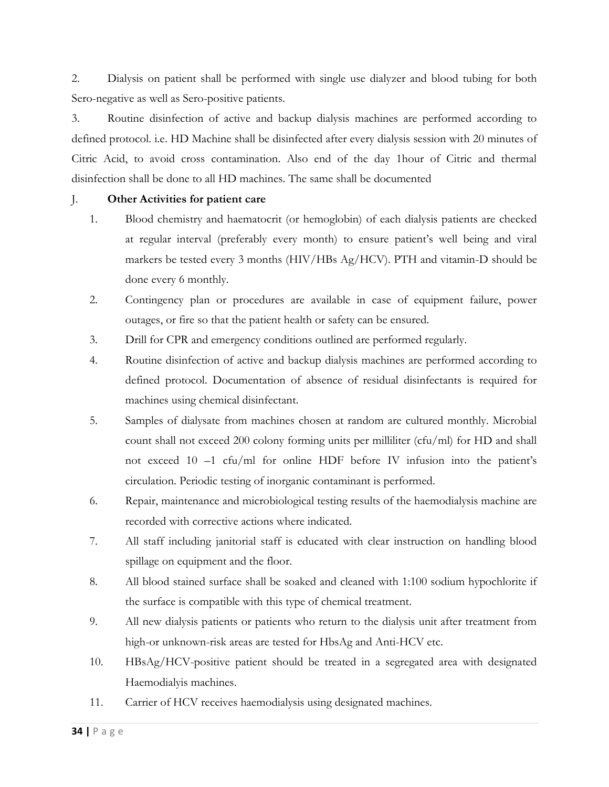2. Dialysis on patient shall be performed with single use dialyzer and blood tubing for both Sero-negative as well as Sero-positive patients.

3. Routine disinfection of active and backup dialysis machines are performed according to defined protocol. i.e. HD Machine shall be disinfected after every dialysis session with 20 minutes of Citric Acid, to avoid cross contamination. Also end of the day 1hour of Citric and thermal disinfection shall be done to all HD machines. The same shall be documented

## J. **Other Activities for patient care**

- 1. Blood chemistry and haematocrit (or hemoglobin) of each dialysis patients are checked at regular interval (preferably every month) to ensure patient's well being and viral markers be tested every 3 months (HIV/HBs Ag/HCV). PTH and vitamin-D should be done every 6 monthly.
- 2. Contingency plan or procedures are available in case of equipment failure, power outages, or fire so that the patient health or safety can be ensured.
- 3. Drill for CPR and emergency conditions outlined are performed regularly.
- 4. Routine disinfection of active and backup dialysis machines are performed according to defined protocol. Documentation of absence of residual disinfectants is required for machines using chemical disinfectant.
- 5. Samples of dialysate from machines chosen at random are cultured monthly. Microbial count shall not exceed 200 colony forming units per milliliter (cfu/ml) for HD and shall not exceed 10 –1 cfu/ml for online HDF before IV infusion into the patient's circulation. Periodic testing of inorganic contaminant is performed.
- 6. Repair, maintenance and microbiological testing results of the haemodialysis machine are recorded with corrective actions where indicated.
- 7. All staff including janitorial staff is educated with clear instruction on handling blood spillage on equipment and the floor.
- 8. All blood stained surface shall be soaked and cleaned with 1:100 sodium hypochlorite if the surface is compatible with this type of chemical treatment.
- 9. All new dialysis patients or patients who return to the dialysis unit after treatment from high-or unknown-risk areas are tested for HbsAg and Anti-HCV etc.
- 10. HBsAg/HCV-positive patient should be treated in a segregated area with designated Haemodialyis machines.
- 11. Carrier of HCV receives haemodialysis using designated machines.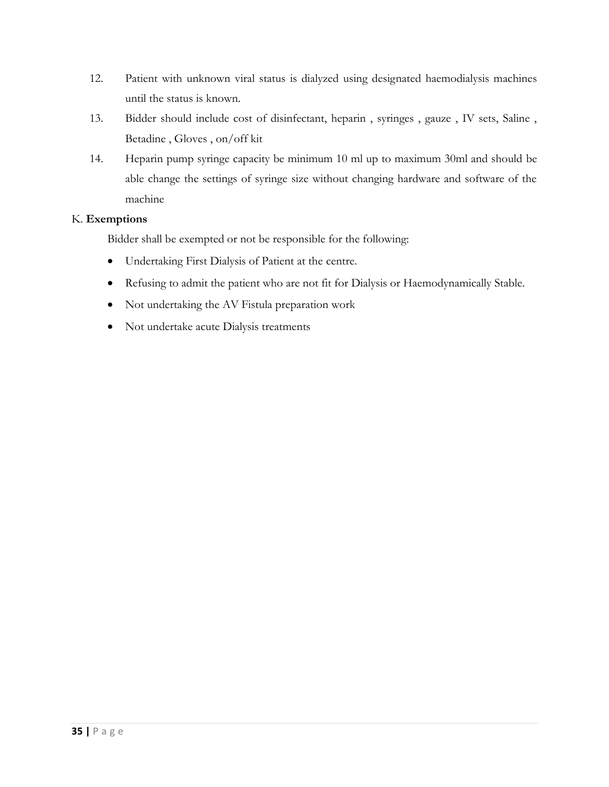- 12. Patient with unknown viral status is dialyzed using designated haemodialysis machines until the status is known.
- 13. Bidder should include cost of disinfectant, heparin , syringes , gauze , IV sets, Saline , Betadine , Gloves , on/off kit
- 14. Heparin pump syringe capacity be minimum 10 ml up to maximum 30ml and should be able change the settings of syringe size without changing hardware and software of the machine

## K. **Exemptions**

Bidder shall be exempted or not be responsible for the following:

- Undertaking First Dialysis of Patient at the centre.
- Refusing to admit the patient who are not fit for Dialysis or Haemodynamically Stable.
- Not undertaking the AV Fistula preparation work
- Not undertake acute Dialysis treatments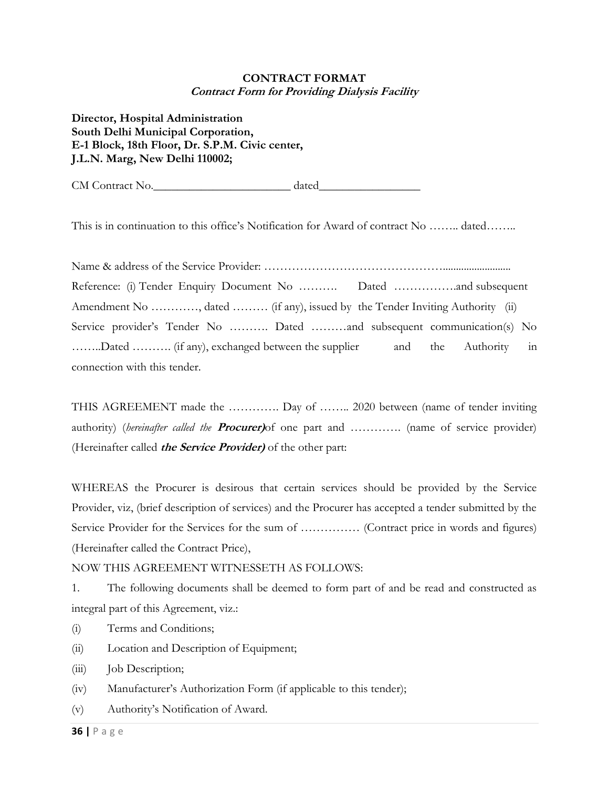## **CONTRACT FORMAT Contract Form for Providing Dialysis Facility**

**Director, Hospital Administration South Delhi Municipal Corporation, E-1 Block, 18th Floor, Dr. S.P.M. Civic center, J.L.N. Marg, New Delhi 110002;** 

CM Contract No.

This is in continuation to this office's Notification for Award of contract No …….. dated……..

Name & address of the Service Provider: ……………………………………….......................... Reference: (i) Tender Enquiry Document No ………. Dated …………….and subsequent Amendment No …………, dated ……… (if any), issued by the Tender Inviting Authority (ii) Service provider's Tender No ………. Dated ………and subsequent communication(s) No ……..Dated ………. (if any), exchanged between the supplier and the Authority in connection with this tender.

THIS AGREEMENT made the …………. Day of …….. 2020 between (name of tender inviting authority) (*hereinafter called the* **Procurer)**of one part and …………. (name of service provider) (Hereinafter called **the Service Provider)** of the other part:

WHEREAS the Procurer is desirous that certain services should be provided by the Service Provider, viz, (brief description of services) and the Procurer has accepted a tender submitted by the Service Provider for the Services for the sum of …………… (Contract price in words and figures) (Hereinafter called the Contract Price),

NOW THIS AGREEMENT WITNESSETH AS FOLLOWS:

1. The following documents shall be deemed to form part of and be read and constructed as integral part of this Agreement, viz.:

- (i) Terms and Conditions;
- (ii) Location and Description of Equipment;
- (iii) Job Description;
- (iv) Manufacturer's Authorization Form (if applicable to this tender);
- (v) Authority's Notification of Award.